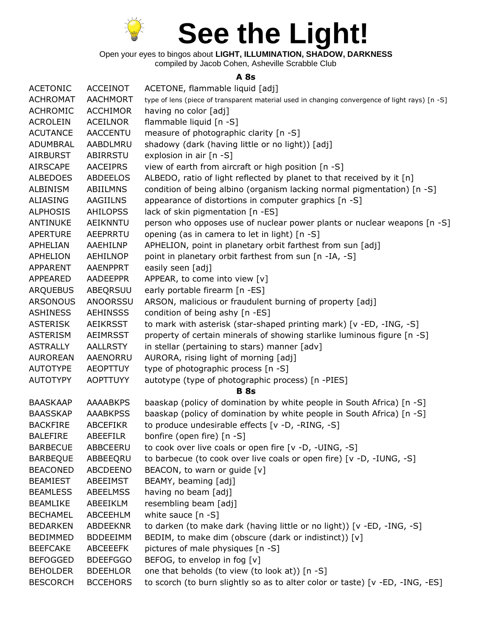

Open your eyes to bingos about **LIGHT, ILLUMINATION, SHADOW, DARKNESS**

compiled by Jacob Cohen, Asheville Scrabble Club

## **A 8s**

| <b>ACETONIC</b> | <b>ACCEINOT</b> | ACETONE, flammable liquid [adj]                                                                |
|-----------------|-----------------|------------------------------------------------------------------------------------------------|
| <b>ACHROMAT</b> | <b>AACHMORT</b> | type of lens (piece of transparent material used in changing convergence of light rays) [n -S] |
| <b>ACHROMIC</b> | <b>ACCHIMOR</b> | having no color [adj]                                                                          |
| <b>ACROLEIN</b> | ACEILNOR        | flammable liquid [n -S]                                                                        |
| <b>ACUTANCE</b> | <b>AACCENTU</b> | measure of photographic clarity [n -S]                                                         |
| ADUMBRAL        | AABDLMRU        | shadowy (dark (having little or no light)) [adj]                                               |
| <b>AIRBURST</b> | ABIRRSTU        | explosion in air [n -S]                                                                        |
| <b>AIRSCAPE</b> | <b>AACEIPRS</b> | view of earth from aircraft or high position [n -S]                                            |
| <b>ALBEDOES</b> | <b>ABDEELOS</b> | ALBEDO, ratio of light reflected by planet to that received by it [n]                          |
| <b>ALBINISM</b> | <b>ABIILMNS</b> | condition of being albino (organism lacking normal pigmentation) [n -S]                        |
| <b>ALIASING</b> | <b>AAGIILNS</b> | appearance of distortions in computer graphics [n -S]                                          |
| <b>ALPHOSIS</b> | <b>AHILOPSS</b> | lack of skin pigmentation [n -ES]                                                              |
| <b>ANTINUKE</b> | AEIKNNTU        | person who opposes use of nuclear power plants or nuclear weapons [n -S]                       |
| <b>APERTURE</b> | AEEPRRTU        | opening (as in camera to let in light) [n -S]                                                  |
| APHELIAN        | AAEHILNP        | APHELION, point in planetary orbit farthest from sun [adj]                                     |
| <b>APHELION</b> | <b>AEHILNOP</b> | point in planetary orbit farthest from sun [n -IA, -S]                                         |
| APPARENT        | AAENPPRT        | easily seen [adj]                                                                              |
| APPEARED        | AADEEPPR        | APPEAR, to come into view [v]                                                                  |
| <b>ARQUEBUS</b> | ABEQRSUU        | early portable firearm [n -ES]                                                                 |
| <b>ARSONOUS</b> | <b>ANOORSSU</b> | ARSON, malicious or fraudulent burning of property [adj]                                       |
| <b>ASHINESS</b> | <b>AEHINSSS</b> | condition of being ashy [n -ES]                                                                |
| <b>ASTERISK</b> | <b>AEIKRSST</b> | to mark with asterisk (star-shaped printing mark) [v -ED, -ING, -S]                            |
| <b>ASTERISM</b> | <b>AEIMRSST</b> | property of certain minerals of showing starlike luminous figure [n -S]                        |
| <b>ASTRALLY</b> | <b>AALLRSTY</b> | in stellar (pertaining to stars) manner [adv]                                                  |
| <b>AUROREAN</b> | AAENORRU        | AURORA, rising light of morning [adj]                                                          |
| <b>AUTOTYPE</b> | <b>AEOPTTUY</b> | type of photographic process [n -S]                                                            |
| <b>AUTOTYPY</b> | <b>AOPTTUYY</b> | autotype (type of photographic process) [n -PIES]                                              |
|                 |                 | <b>B</b> 8s                                                                                    |
| <b>BAASKAAP</b> | <b>AAAABKPS</b> | baaskap (policy of domination by white people in South Africa) [n -S]                          |
| <b>BAASSKAP</b> | <b>AAABKPSS</b> | baaskap (policy of domination by white people in South Africa) [n -S]                          |
| <b>BACKFIRE</b> | <b>ABCEFIKR</b> | to produce undesirable effects [v -D, -RING, -S]                                               |
| <b>BALEFIRE</b> | <b>ABEEFILR</b> | bonfire (open fire) [n -S]                                                                     |
| <b>BARBECUE</b> | ABBCEERU        | to cook over live coals or open fire [v -D, -UING, -S]                                         |
| <b>BARBEQUE</b> | ABBEEQRU        | to barbecue (to cook over live coals or open fire) [v -D, -IUNG, -S]                           |
| <b>BEACONED</b> | ABCDEENO        | BEACON, to warn or guide [v]                                                                   |
| <b>BEAMIEST</b> | ABEEIMST        | BEAMY, beaming [adj]                                                                           |
| <b>BEAMLESS</b> | <b>ABEELMSS</b> | having no beam [adj]                                                                           |
| <b>BEAMLIKE</b> | ABEEIKLM        | resembling beam [adj]                                                                          |
| <b>BECHAMEL</b> | ABCEEHLM        | white sauce $[n -S]$                                                                           |
| <b>BEDARKEN</b> | ABDEEKNR        | to darken (to make dark (having little or no light)) [v -ED, -ING, -S]                         |
| <b>BEDIMMED</b> | <b>BDDEEIMM</b> | BEDIM, to make dim (obscure (dark or indistinct)) [v]                                          |
| <b>BEEFCAKE</b> | ABCEEEFK        | pictures of male physiques [n -S]                                                              |
| <b>BEFOGGED</b> | <b>BDEEFGGO</b> | BEFOG, to envelop in fog [v]                                                                   |
| <b>BEHOLDER</b> | <b>BDEEHLOR</b> | one that beholds (to view (to look at)) [n -S]                                                 |
| <b>BESCORCH</b> | <b>BCCEHORS</b> | to scorch (to burn slightly so as to alter color or taste) [v -ED, -ING, -ES]                  |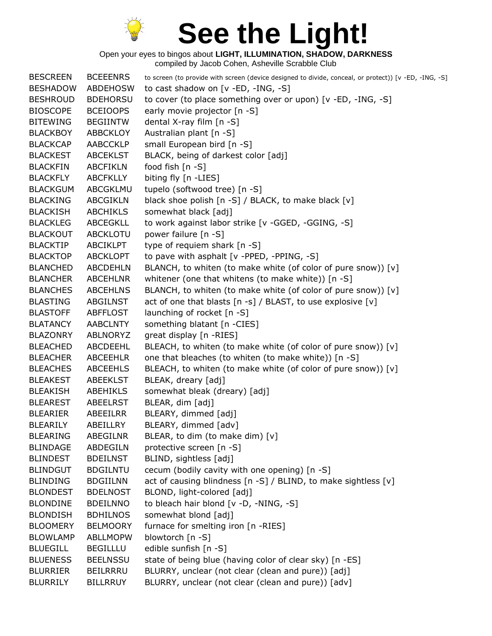

| <b>BESCREEN</b> | <b>BCEEENRS</b> | to screen (to provide with screen (device designed to divide, conceal, or protect)) [v -ED, -ING, -S] |
|-----------------|-----------------|-------------------------------------------------------------------------------------------------------|
| <b>BESHADOW</b> | <b>ABDEHOSW</b> | to cast shadow on [v -ED, -ING, -S]                                                                   |
| <b>BESHROUD</b> | <b>BDEHORSU</b> | to cover (to place something over or upon) [v -ED, -ING, -S]                                          |
| <b>BIOSCOPE</b> | <b>BCEIOOPS</b> | early movie projector [n -S]                                                                          |
| <b>BITEWING</b> | <b>BEGIINTW</b> | dental X-ray film [n -S]                                                                              |
| <b>BLACKBOY</b> | ABBCKLOY        | Australian plant [n -S]                                                                               |
| <b>BLACKCAP</b> | AABCCKLP        | small European bird [n -S]                                                                            |
| <b>BLACKEST</b> | <b>ABCEKLST</b> | BLACK, being of darkest color [adj]                                                                   |
| <b>BLACKFIN</b> | <b>ABCFIKLN</b> | food fish [n -S]                                                                                      |
| <b>BLACKFLY</b> | <b>ABCFKLLY</b> | biting fly [n -LIES]                                                                                  |
| <b>BLACKGUM</b> | ABCGKLMU        | tupelo (softwood tree) [n -S]                                                                         |
| <b>BLACKING</b> | <b>ABCGIKLN</b> | black shoe polish [n -S] / BLACK, to make black [v]                                                   |
| <b>BLACKISH</b> | <b>ABCHIKLS</b> | somewhat black [adj]                                                                                  |
| <b>BLACKLEG</b> | ABCEGKLL        | to work against labor strike [v -GGED, -GGING, -S]                                                    |
| <b>BLACKOUT</b> | <b>ABCKLOTU</b> | power failure [n -S]                                                                                  |
| <b>BLACKTIP</b> | ABCIKLPT        | type of requiem shark [n -S]                                                                          |
| <b>BLACKTOP</b> | <b>ABCKLOPT</b> | to pave with asphalt [v -PPED, -PPING, -S]                                                            |
| <b>BLANCHED</b> | <b>ABCDEHLN</b> | BLANCH, to whiten (to make white (of color of pure snow)) [v]                                         |
| <b>BLANCHER</b> | <b>ABCEHLNR</b> | whitener (one that whitens (to make white)) [n -S]                                                    |
| <b>BLANCHES</b> | <b>ABCEHLNS</b> | BLANCH, to whiten (to make white (of color of pure snow)) [v]                                         |
| <b>BLASTING</b> | ABGILNST        | act of one that blasts [n -s] / BLAST, to use explosive [v]                                           |
| <b>BLASTOFF</b> | ABFFLOST        | launching of rocket [n -S]                                                                            |
| <b>BLATANCY</b> | <b>AABCLNTY</b> | something blatant [n -CIES]                                                                           |
| <b>BLAZONRY</b> | ABLNORYZ        | great display [n -RIES]                                                                               |
| <b>BLEACHED</b> | ABCDEEHL        | BLEACH, to whiten (to make white (of color of pure snow)) [v]                                         |
| <b>BLEACHER</b> | <b>ABCEEHLR</b> | one that bleaches (to whiten (to make white)) [n -S]                                                  |
| <b>BLEACHES</b> | <b>ABCEEHLS</b> | BLEACH, to whiten (to make white (of color of pure snow)) [v]                                         |
| <b>BLEAKEST</b> | <b>ABEEKLST</b> | BLEAK, dreary [adj]                                                                                   |
| <b>BLEAKISH</b> | ABEHIKLS        | somewhat bleak (dreary) [adj]                                                                         |
| <b>BLEAREST</b> | <b>ABEELRST</b> | BLEAR, dim [adj]                                                                                      |
| <b>BLEARIER</b> | ABEEILRR        | BLEARY, dimmed [adj]                                                                                  |
| <b>BLEARILY</b> | ABEILLRY        | BLEARY, dimmed [adv]                                                                                  |
| <b>BLEARING</b> | ABEGILNR        | BLEAR, to dim (to make dim) [v]                                                                       |
| <b>BLINDAGE</b> | ABDEGILN        | protective screen [n -S]                                                                              |
| <b>BLINDEST</b> | <b>BDEILNST</b> | BLIND, sightless [adj]                                                                                |
| <b>BLINDGUT</b> | <b>BDGILNTU</b> | cecum (bodily cavity with one opening) [n -S]                                                         |
| <b>BLINDING</b> | <b>BDGIILNN</b> | act of causing blindness [n -S] / BLIND, to make sightless [v]                                        |
| <b>BLONDEST</b> | <b>BDELNOST</b> | BLOND, light-colored [adj]                                                                            |
| <b>BLONDINE</b> | <b>BDEILNNO</b> | to bleach hair blond [v -D, -NING, -S]                                                                |
| <b>BLONDISH</b> | <b>BDHILNOS</b> | somewhat blond [adj]                                                                                  |
| <b>BLOOMERY</b> | <b>BELMOORY</b> | furnace for smelting iron [n -RIES]                                                                   |
| <b>BLOWLAMP</b> | <b>ABLLMOPW</b> | blowtorch [n -S]                                                                                      |
| <b>BLUEGILL</b> | <b>BEGILLLU</b> | edible sunfish [n -S]                                                                                 |
| <b>BLUENESS</b> | <b>BEELNSSU</b> | state of being blue (having color of clear sky) [n -ES]                                               |
| <b>BLURRIER</b> | <b>BEILRRRU</b> | BLURRY, unclear (not clear (clean and pure)) [adj]                                                    |
| <b>BLURRILY</b> | <b>BILLRRUY</b> | BLURRY, unclear (not clear (clean and pure)) [adv]                                                    |
|                 |                 |                                                                                                       |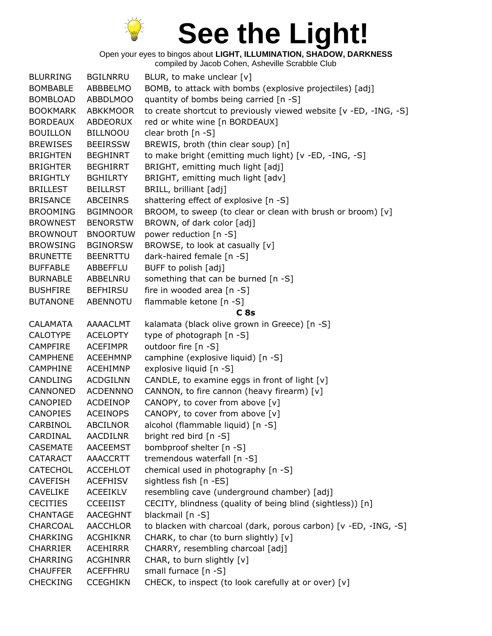

| <b>BLURRING</b> | <b>BGILNRRU</b> | BLUR, to make unclear [v]                                         |
|-----------------|-----------------|-------------------------------------------------------------------|
| <b>BOMBABLE</b> | ABBBELMO        | BOMB, to attack with bombs (explosive projectiles) [adj]          |
| <b>BOMBLOAD</b> | <b>ABBDLMOO</b> | quantity of bombs being carried [n -S]                            |
| <b>BOOKMARK</b> | <b>ABKKMOOR</b> | to create shortcut to previously viewed website [v -ED, -ING, -S] |
| <b>BORDEAUX</b> | ABDEORUX        | red or white wine [n BORDEAUX]                                    |
| <b>BOUILLON</b> | <b>BILLNOOU</b> | clear broth [n -S]                                                |
| <b>BREWISES</b> | <b>BEEIRSSW</b> | BREWIS, broth (thin clear soup) [n]                               |
| <b>BRIGHTEN</b> | <b>BEGHINRT</b> | to make bright (emitting much light) [v -ED, -ING, -S]            |
| <b>BRIGHTER</b> | <b>BEGHIRRT</b> | BRIGHT, emitting much light [adj]                                 |
| <b>BRIGHTLY</b> | <b>BGHILRTY</b> | BRIGHT, emitting much light [adv]                                 |
| <b>BRILLEST</b> | <b>BEILLRST</b> | BRILL, brilliant [adj]                                            |
| <b>BRISANCE</b> | <b>ABCEINRS</b> | shattering effect of explosive [n -S]                             |
| <b>BROOMING</b> | <b>BGIMNOOR</b> | BROOM, to sweep (to clear or clean with brush or broom) [v]       |
| <b>BROWNEST</b> | <b>BENORSTW</b> | BROWN, of dark color [adj]                                        |
| <b>BROWNOUT</b> | <b>BNOORTUW</b> | power reduction [n -S]                                            |
| <b>BROWSING</b> | <b>BGINORSW</b> | BROWSE, to look at casually [v]                                   |
| <b>BRUNETTE</b> | <b>BEENRTTU</b> | dark-haired female [n -S]                                         |
| <b>BUFFABLE</b> | ABBEFFLU        | BUFF to polish [adj]                                              |
| <b>BURNABLE</b> | ABBELNRU        | something that can be burned [n -S]                               |
| <b>BUSHFIRE</b> | <b>BEFHIRSU</b> | fire in wooded area [n -S]                                        |
| <b>BUTANONE</b> | <b>ABENNOTU</b> | flammable ketone [n -S]                                           |
|                 |                 | C <sub>8s</sub>                                                   |
| <b>CALAMATA</b> | AAAACLMT        | kalamata (black olive grown in Greece) [n -S]                     |
| <b>CALOTYPE</b> | <b>ACELOPTY</b> | type of photograph [n -S]                                         |
| <b>CAMPFIRE</b> | <b>ACEFIMPR</b> | outdoor fire [n -S]                                               |
| <b>CAMPHENE</b> | <b>ACEEHMNP</b> | camphine (explosive liquid) [n -S]                                |
| <b>CAMPHINE</b> | <b>ACEHIMNP</b> | explosive liquid [n -S]                                           |
| <b>CANDLING</b> | <b>ACDGILNN</b> | CANDLE, to examine eggs in front of light [v]                     |
| CANNONED        | <b>ACDENNNO</b> | CANNON, to fire cannon (heavy firearm) [v]                        |
| CANOPIED        | ACDEINOP        | CANOPY, to cover from above [v]                                   |
| <b>CANOPIES</b> | <b>ACEINOPS</b> | CANOPY, to cover from above [v]                                   |
| CARBINOL        | <b>ABCILNOR</b> | alcohol (flammable liquid) [n -S]                                 |
| CARDINAL        | <b>AACDILNR</b> | bright red bird [n -S]                                            |
| <b>CASEMATE</b> | <b>AACEEMST</b> | bombproof shelter [n -S]                                          |
| <b>CATARACT</b> | <b>AAACCRTT</b> | tremendous waterfall [n -S]                                       |
| <b>CATECHOL</b> | <b>ACCEHLOT</b> | chemical used in photography [n -S]                               |
| <b>CAVEFISH</b> | <b>ACEFHISV</b> | sightless fish [n -ES]                                            |
| <b>CAVELIKE</b> | <b>ACEEIKLV</b> | resembling cave (underground chamber) [adj]                       |
| <b>CECITIES</b> | <b>CCEEIIST</b> | CECITY, blindness (quality of being blind (sightless)) [n]        |
| <b>CHANTAGE</b> | AACEGHNT        | blackmail [n -S]                                                  |
| CHARCOAL        | <b>AACCHLOR</b> | to blacken with charcoal (dark, porous carbon) [v -ED, -ING, -S]  |
| <b>CHARKING</b> | <b>ACGHIKNR</b> | CHARK, to char (to burn slightly) [v]                             |
| <b>CHARRIER</b> | <b>ACEHIRRR</b> | CHARRY, resembling charcoal [adj]                                 |
| <b>CHARRING</b> | <b>ACGHINRR</b> | CHAR, to burn slightly [v]                                        |
| <b>CHAUFFER</b> | ACEFFHRU        | small furnace $[n -S]$                                            |
| <b>CHECKING</b> | <b>CCEGHIKN</b> | CHECK, to inspect (to look carefully at or over) [v]              |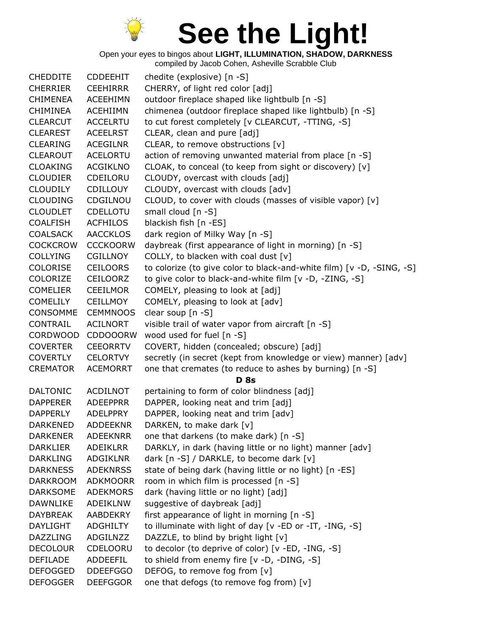

Open your eyes to bingos about **LIGHT, ILLUMINATION, SHADOW, DARKNESS** compiled by Jacob Cohen, Asheville Scrabble Club

CHEDDITE CDDEEHIT chedite (explosive) [n -S] CHERRIER CEEHIRRR CHERRY, of light red color [adj] CHIMENEA ACEEHIMN outdoor fireplace shaped like lightbulb [n -S] CHIMINEA ACEHIIMN chimenea (outdoor fireplace shaped like lightbulb) [n -S] CLEARCUT ACCELRTU to cut forest completely [v CLEARCUT, -TTING, -S] CLEAREST ACEELRST CLEAR, clean and pure [adj] CLEARING ACEGILNR CLEAR, to remove obstructions [v] CLEAROUT ACELORTU action of removing unwanted material from place [n -S] CLOAKING ACGIKLNO CLOAK, to conceal (to keep from sight or discovery) [v] CLOUDIER CDEILORU CLOUDY, overcast with clouds [adj] CLOUDILY CDILLOUY CLOUDY, overcast with clouds [adv] CLOUDING CDGILNOU CLOUD, to cover with clouds (masses of visible vapor) [v] CLOUDLET CDELLOTU small cloud [n -S] COALFISH ACFHILOS blackish fish [n -ES] COALSACK AACCKLOS dark region of Milky Way [n -S] COCKCROW CCCKOORW daybreak (first appearance of light in morning) [n -S] COLLYING CGILLNOY COLLY, to blacken with coal dust [v] COLORISE CEILOORS to colorize (to give color to black-and-white film) [v -D, -SING, -S] COLORIZE CEILOORZ to give color to black-and-white film [v -D, -ZING, -S] COMELIER CEEILMOR COMELY, pleasing to look at [adj] COMELILY CEILLMOY COMELY, pleasing to look at [adv] CONSOMME CEMMNOOS clear soup [n -S] CONTRAIL ACILNORT visible trail of water vapor from aircraft [n -S] CORDWOOD CDDOOORW wood used for fuel [n -S] COVERTER CEEORRTV COVERT, hidden (concealed; obscure) [adj] COVERTLY CELORTVY secretly (in secret (kept from knowledge or view) manner) [adv] CREMATOR ACEMORRT one that cremates (to reduce to ashes by burning) [n -S] **D 8s** DALTONIC ACDILNOT pertaining to form of color blindness [adj] DAPPERER ADEEPPRR DAPPER, looking neat and trim [adj] DAPPERLY ADELPPRY DAPPER, looking neat and trim [adv] DARKENED ADDEEKNR DARKEN, to make dark [v] DARKENER ADEEKNRR one that darkens (to make dark) [n -S] DARKLIER ADEIKLRR DARKLY, in dark (having little or no light) manner [adv] DARKLING ADGIKLNR dark [n -S] / DARKLE, to become dark [v] DARKNESS ADEKNRSS state of being dark (having little or no light) [n -ES] DARKROOM ADKMOORR room in which film is processed [n -S] DARKSOME ADEKMORS dark (having little or no light) [adj] DAWNLIKE ADEIKLNW suggestive of daybreak [adj] DAYBREAK AABDEKRY first appearance of light in morning [n -S] DAYLIGHT ADGHILTY to illuminate with light of day [v -ED or -IT, -ING, -S] DAZZLING ADGILNZZ DAZZLE, to blind by bright light [v] DECOLOUR CDELOORU to decolor (to deprive of color) [v -ED, -ING, -S] DEFILADE ADDEEFIL to shield from enemy fire [v -D, -DING, -S] DEFOGGED DDEEFGGO DEFOG, to remove fog from [v] DEFOGGER DEEFGGOR one that defogs (to remove fog from) [v]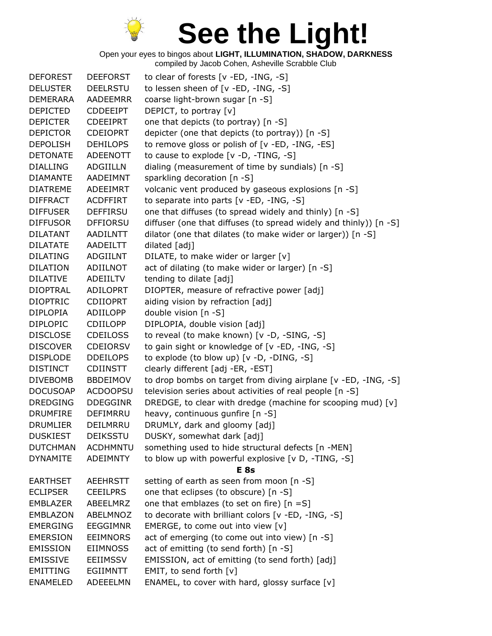

| <b>DEFOREST</b> | <b>DEEFORST</b> | to clear of forests [v -ED, -ING, -S]                             |
|-----------------|-----------------|-------------------------------------------------------------------|
| <b>DELUSTER</b> | <b>DEELRSTU</b> | to lessen sheen of [v -ED, -ING, -S]                              |
| <b>DEMERARA</b> | AADEEMRR        | coarse light-brown sugar [n -S]                                   |
| <b>DEPICTED</b> | <b>CDDEEIPT</b> | DEPICT, to portray [v]                                            |
| <b>DEPICTER</b> | <b>CDEEIPRT</b> | one that depicts (to portray) [n -S]                              |
| <b>DEPICTOR</b> | <b>CDEIOPRT</b> | depicter (one that depicts (to portray)) [n -S]                   |
| <b>DEPOLISH</b> | <b>DEHILOPS</b> | to remove gloss or polish of [v -ED, -ING, -ES]                   |
| <b>DETONATE</b> | <b>ADEENOTT</b> | to cause to explode [v -D, -TING, -S]                             |
| <b>DIALLING</b> | <b>ADGIILLN</b> | dialing (measurement of time by sundials) [n -S]                  |
| <b>DIAMANTE</b> | AADEIMNT        | sparkling decoration [n -S]                                       |
| <b>DIATREME</b> | ADEEIMRT        | volcanic vent produced by gaseous explosions [n -S]               |
| <b>DIFFRACT</b> | <b>ACDFFIRT</b> | to separate into parts [v -ED, -ING, -S]                          |
| <b>DIFFUSER</b> | <b>DEFFIRSU</b> | one that diffuses (to spread widely and thinly) [n -S]            |
| <b>DIFFUSOR</b> | <b>DFFIORSU</b> | diffuser (one that diffuses (to spread widely and thinly)) [n -S] |
| <b>DILATANT</b> | AADILNTT        | dilator (one that dilates (to make wider or larger)) [n -S]       |
| <b>DILATATE</b> | AADEILTT        | dilated [adj]                                                     |
| <b>DILATING</b> | <b>ADGIILNT</b> | DILATE, to make wider or larger [v]                               |
| <b>DILATION</b> | ADIILNOT        | act of dilating (to make wider or larger) [n -S]                  |
| <b>DILATIVE</b> | ADEIILTV        | tending to dilate [adj]                                           |
| <b>DIOPTRAL</b> | <b>ADILOPRT</b> | DIOPTER, measure of refractive power [adj]                        |
| <b>DIOPTRIC</b> | <b>CDIIOPRT</b> | aiding vision by refraction [adj]                                 |
| <b>DIPLOPIA</b> | ADIILOPP        | double vision [n -S]                                              |
| <b>DIPLOPIC</b> | <b>CDIILOPP</b> | DIPLOPIA, double vision [adj]                                     |
| <b>DISCLOSE</b> | <b>CDEILOSS</b> | to reveal (to make known) [v -D, -SING, -S]                       |
| <b>DISCOVER</b> | <b>CDEIORSV</b> | to gain sight or knowledge of [v -ED, -ING, -S]                   |
| <b>DISPLODE</b> | <b>DDEILOPS</b> | to explode (to blow up) [v -D, -DING, -S]                         |
| <b>DISTINCT</b> | <b>CDIINSTT</b> | clearly different [adj -ER, -EST]                                 |
| <b>DIVEBOMB</b> | <b>BBDEIMOV</b> | to drop bombs on target from diving airplane [v -ED, -ING, -S]    |
| <b>DOCUSOAP</b> | <b>ACDOOPSU</b> | television series about activities of real people [n -S]          |
| <b>DREDGING</b> | <b>DDEGGINR</b> | DREDGE, to clear with dredge (machine for scooping mud) [v]       |
| <b>DRUMFIRE</b> | <b>DEFIMRRU</b> | heavy, continuous gunfire [n -S]                                  |
| <b>DRUMLIER</b> | DEILMRRU        | DRUMLY, dark and gloomy [adj]                                     |
| <b>DUSKIEST</b> | DEIKSSTU        | DUSKY, somewhat dark [adj]                                        |
| <b>DUTCHMAN</b> | <b>ACDHMNTU</b> | something used to hide structural defects [n -MEN]                |
| <b>DYNAMITE</b> | <b>ADEIMNTY</b> | to blow up with powerful explosive [v D, -TING, -S]               |
|                 |                 | E <sub>8s</sub>                                                   |
| <b>EARTHSET</b> | <b>AEEHRSTT</b> | setting of earth as seen from moon [n -S]                         |
| <b>ECLIPSER</b> | <b>CEEILPRS</b> | one that eclipses (to obscure) [n -S]                             |
| <b>EMBLAZER</b> | ABEELMRZ        | one that emblazes (to set on fire) $[n = S]$                      |
| EMBLAZON        | ABELMNOZ        | to decorate with brilliant colors [v -ED, -ING, -S]               |
| <b>EMERGING</b> | <b>EEGGIMNR</b> | EMERGE, to come out into view [v]                                 |
| <b>EMERSION</b> | <b>EEIMNORS</b> | act of emerging (to come out into view) [n -S]                    |
| <b>EMISSION</b> | <b>EIIMNOSS</b> | act of emitting (to send forth) [n -S]                            |
| <b>EMISSIVE</b> | <b>EEIIMSSV</b> | EMISSION, act of emitting (to send forth) [adj]                   |
| <b>EMITTING</b> | EGIIMNTT        | EMIT, to send forth [v]                                           |
| <b>ENAMELED</b> | ADEEELMN        | ENAMEL, to cover with hard, glossy surface [v]                    |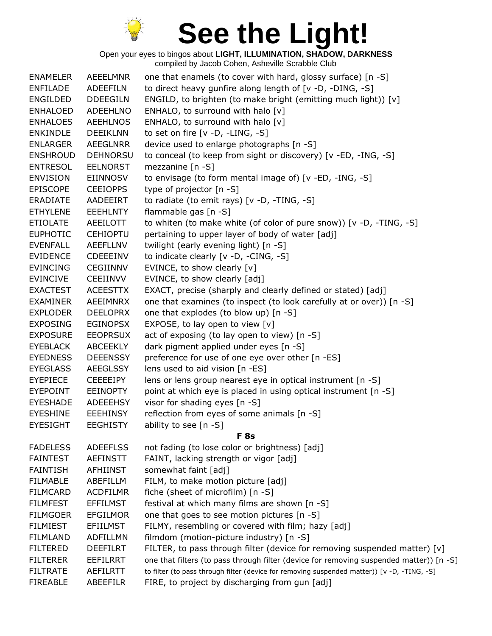

| <b>ENAMELER</b> | AEEELMNR        | one that enamels (to cover with hard, glossy surface) [n -S]                                |
|-----------------|-----------------|---------------------------------------------------------------------------------------------|
| <b>ENFILADE</b> | ADEEFILN        | to direct heavy gunfire along length of [v -D, -DING, -S]                                   |
| <b>ENGILDED</b> | <b>DDEEGILN</b> | ENGILD, to brighten (to make bright (emitting much light)) [v]                              |
| <b>ENHALOED</b> | <b>ADEEHLNO</b> | ENHALO, to surround with halo [v]                                                           |
| <b>ENHALOES</b> | <b>AEEHLNOS</b> | ENHALO, to surround with halo [v]                                                           |
| <b>ENKINDLE</b> | <b>DEEIKLNN</b> | to set on fire $[v -D, -LING, -S]$                                                          |
| <b>ENLARGER</b> | AEEGLNRR        | device used to enlarge photographs [n -S]                                                   |
| <b>ENSHROUD</b> | <b>DEHNORSU</b> | to conceal (to keep from sight or discovery) [v -ED, -ING, -S]                              |
| <b>ENTRESOL</b> | <b>EELNORST</b> | mezzanine $[n -S]$                                                                          |
| <b>ENVISION</b> | <b>EIINNOSV</b> | to envisage (to form mental image of) [v -ED, -ING, -S]                                     |
| <b>EPISCOPE</b> | <b>CEEIOPPS</b> | type of projector [n -S]                                                                    |
| <b>ERADIATE</b> | AADEEIRT        | to radiate (to emit rays) [v -D, -TING, -S]                                                 |
| <b>ETHYLENE</b> | <b>EEEHLNTY</b> | flammable gas [n -S]                                                                        |
| <b>ETIOLATE</b> | AEEILOTT        | to whiten (to make white (of color of pure snow)) [v -D, -TING, -S]                         |
| <b>EUPHOTIC</b> | <b>CEHIOPTU</b> | pertaining to upper layer of body of water [adj]                                            |
| <b>EVENFALL</b> | AEEFLLNV        | twilight (early evening light) [n -S]                                                       |
| <b>EVIDENCE</b> | CDEEEINV        | to indicate clearly [v -D, -CING, -S]                                                       |
| <b>EVINCING</b> | <b>CEGIINNV</b> | EVINCE, to show clearly [v]                                                                 |
| <b>EVINCIVE</b> | <b>CEEIINVV</b> | EVINCE, to show clearly [adj]                                                               |
| <b>EXACTEST</b> | <b>ACEESTTX</b> | EXACT, precise (sharply and clearly defined or stated) [adj]                                |
| <b>EXAMINER</b> | AEEIMNRX        | one that examines (to inspect (to look carefully at or over)) [n -S]                        |
| <b>EXPLODER</b> | <b>DEELOPRX</b> | one that explodes (to blow up) [n -S]                                                       |
| <b>EXPOSING</b> | <b>EGINOPSX</b> | EXPOSE, to lay open to view [v]                                                             |
| <b>EXPOSURE</b> | <b>EEOPRSUX</b> | act of exposing (to lay open to view) [n -S]                                                |
| <b>EYEBLACK</b> | ABCEEKLY        | dark pigment applied under eyes [n -S]                                                      |
| <b>EYEDNESS</b> | <b>DEEENSSY</b> | preference for use of one eye over other [n -ES]                                            |
| <b>EYEGLASS</b> | <b>AEEGLSSY</b> | lens used to aid vision [n -ES]                                                             |
| <b>EYEPIECE</b> | <b>CEEEEIPY</b> | lens or lens group nearest eye in optical instrument [n -S]                                 |
| <b>EYEPOINT</b> | <b>EEINOPTY</b> | point at which eye is placed in using optical instrument [n -S]                             |
| <b>EYESHADE</b> | ADEEEHSY        | visor for shading eyes [n -S]                                                               |
| <b>EYESHINE</b> | <b>EEEHINSY</b> | reflection from eyes of some animals [n -S]                                                 |
| <b>EYESIGHT</b> | <b>EEGHISTY</b> | ability to see [n -S]                                                                       |
|                 |                 | <b>F</b> 8s                                                                                 |
| <b>FADELESS</b> | <b>ADEEFLSS</b> | not fading (to lose color or brightness) [adj]                                              |
| <b>FAINTEST</b> | <b>AEFINSTT</b> | FAINT, lacking strength or vigor [adj]                                                      |
| <b>FAINTISH</b> | <b>AFHIINST</b> | somewhat faint [adj]                                                                        |
| <b>FILMABLE</b> | ABEFILLM        | FILM, to make motion picture [adj]                                                          |
| <b>FILMCARD</b> | <b>ACDFILMR</b> | fiche (sheet of microfilm) [n -S]                                                           |
| <b>FILMFEST</b> | <b>EFFILMST</b> | festival at which many films are shown [n -S]                                               |
| <b>FILMGOER</b> | <b>EFGILMOR</b> | one that goes to see motion pictures [n -S]                                                 |
| <b>FILMIEST</b> | <b>EFIILMST</b> | FILMY, resembling or covered with film; hazy [adj]                                          |
| <b>FILMLAND</b> | <b>ADFILLMN</b> | filmdom (motion-picture industry) [n -S]                                                    |
| <b>FILTERED</b> | <b>DEEFILRT</b> | FILTER, to pass through filter (device for removing suspended matter) $[v]$                 |
| <b>FILTERER</b> | <b>EEFILRRT</b> | one that filters (to pass through filter (device for removing suspended matter)) [n -S]     |
| <b>FILTRATE</b> | <b>AEFILRTT</b> | to filter (to pass through filter (device for removing suspended matter)) [v -D, -TING, -S] |
| <b>FIREABLE</b> | ABEEFILR        | FIRE, to project by discharging from gun [adj]                                              |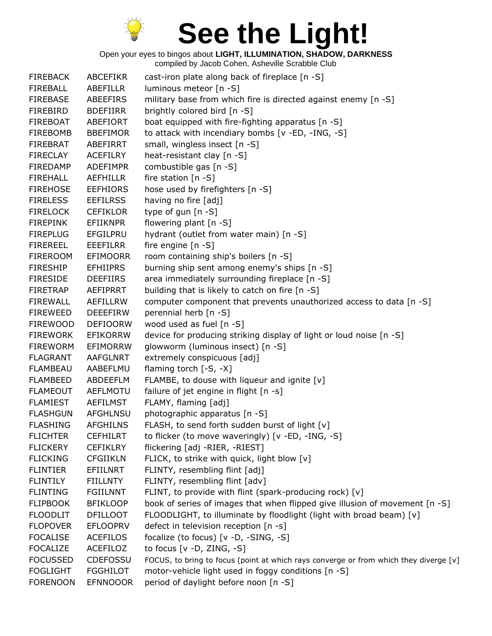

| <b>FIREBACK</b> | <b>ABCEFIKR</b> | cast-iron plate along back of fireplace $[n - S]$                                     |
|-----------------|-----------------|---------------------------------------------------------------------------------------|
| <b>FIREBALL</b> | <b>ABEFILLR</b> | luminous meteor [n -S]                                                                |
| <b>FIREBASE</b> | ABEEFIRS        | military base from which fire is directed against enemy [n -S]                        |
| <b>FIREBIRD</b> | <b>BDEFIIRR</b> | brightly colored bird [n -S]                                                          |
| <b>FIREBOAT</b> | ABEFIORT        | boat equipped with fire-fighting apparatus [n -S]                                     |
| <b>FIREBOMB</b> | <b>BBEFIMOR</b> | to attack with incendiary bombs [v -ED, -ING, -S]                                     |
| <b>FIREBRAT</b> | ABEFIRRT        | small, wingless insect [n -S]                                                         |
| <b>FIRECLAY</b> | <b>ACEFILRY</b> | heat-resistant clay [n -S]                                                            |
| <b>FIREDAMP</b> | <b>ADEFIMPR</b> | combustible gas [n -S]                                                                |
| <b>FIREHALL</b> | <b>AEFHILLR</b> | fire station $[n -S]$                                                                 |
| <b>FIREHOSE</b> | <b>EEFHIORS</b> | hose used by firefighters [n -S]                                                      |
| <b>FIRELESS</b> | <b>EEFILRSS</b> | having no fire [adj]                                                                  |
| <b>FIRELOCK</b> | <b>CEFIKLOR</b> | type of gun [n -S]                                                                    |
| <b>FIREPINK</b> | <b>EFIIKNPR</b> | flowering plant [n -S]                                                                |
| <b>FIREPLUG</b> | <b>EFGILPRU</b> | hydrant (outlet from water main) [n -S]                                               |
| <b>FIREREEL</b> | <b>EEEFILRR</b> | fire engine $[n -S]$                                                                  |
| <b>FIREROOM</b> | <b>EFIMOORR</b> | room containing ship's boilers [n -S]                                                 |
| <b>FIRESHIP</b> | <b>EFHIIPRS</b> | burning ship sent among enemy's ships [n -S]                                          |
| <b>FIRESIDE</b> | <b>DEEFIIRS</b> | area immediately surrounding fireplace [n -S]                                         |
| <b>FIRETRAP</b> | AEFIPRRT        | building that is likely to catch on fire [n -S]                                       |
| <b>FIREWALL</b> | <b>AEFILLRW</b> | computer component that prevents unauthorized access to data [n -S]                   |
| <b>FIREWEED</b> | <b>DEEEFIRW</b> | perennial herb [n -S]                                                                 |
| <b>FIREWOOD</b> | <b>DEFIOORW</b> | wood used as fuel [n -S]                                                              |
| <b>FIREWORK</b> | <b>EFIKORRW</b> | device for producing striking display of light or loud noise [n -S]                   |
| <b>FIREWORM</b> | EFIMORRW        | glowworm (luminous insect) [n -S]                                                     |
| <b>FLAGRANT</b> | <b>AAFGLNRT</b> | extremely conspicuous [adj]                                                           |
| <b>FLAMBEAU</b> | AABEFLMU        | flaming torch $[-S, -X]$                                                              |
| <b>FLAMBEED</b> | ABDEEFLM        | FLAMBE, to douse with liqueur and ignite [v]                                          |
| <b>FLAMEOUT</b> | AEFLMOTU        | failure of jet engine in flight [n -s]                                                |
| <b>FLAMIEST</b> | <b>AEFILMST</b> | FLAMY, flaming [adj]                                                                  |
| <b>FLASHGUN</b> | <b>AFGHLNSU</b> | photographic apparatus [n -S]                                                         |
| <b>FLASHING</b> | <b>AFGHILNS</b> | FLASH, to send forth sudden burst of light [v]                                        |
| <b>FLICHTER</b> | <b>CEFHILRT</b> | to flicker (to move waveringly) [v -ED, -ING, -S]                                     |
| <b>FLICKERY</b> | <b>CEFIKLRY</b> | flickering [adj -RIER, -RIEST]                                                        |
| <b>FLICKING</b> | <b>CFGIIKLN</b> | FLICK, to strike with quick, light blow [v]                                           |
| <b>FLINTIER</b> | EFIILNRT        | FLINTY, resembling flint [adj]                                                        |
| <b>FLINTILY</b> | FIILLNTY        | FLINTY, resembling flint [adv]                                                        |
| <b>FLINTING</b> | <b>FGIILNNT</b> | FLINT, to provide with flint (spark-producing rock) [v]                               |
| <b>FLIPBOOK</b> | <b>BFIKLOOP</b> | book of series of images that when flipped give illusion of movement [n -S]           |
| <b>FLOODLIT</b> | <b>DFILLOOT</b> | FLOODLIGHT, to illuminate by floodlight (light with broad beam) [v]                   |
| <b>FLOPOVER</b> | <b>EFLOOPRV</b> | defect in television reception [n -s]                                                 |
| <b>FOCALISE</b> | <b>ACEFILOS</b> | focalize (to focus) [v -D, -SING, -S]                                                 |
| <b>FOCALIZE</b> | ACEFILOZ        | to focus [v -D, ZING, -S]                                                             |
| <b>FOCUSSED</b> | <b>CDEFOSSU</b> | FOCUS, to bring to focus (point at which rays converge or from which they diverge [v] |
| <b>FOGLIGHT</b> | <b>FGGHILOT</b> | motor-vehicle light used in foggy conditions [n -S]                                   |
| <b>FORENOON</b> | <b>EFNNOOOR</b> | period of daylight before noon [n -S]                                                 |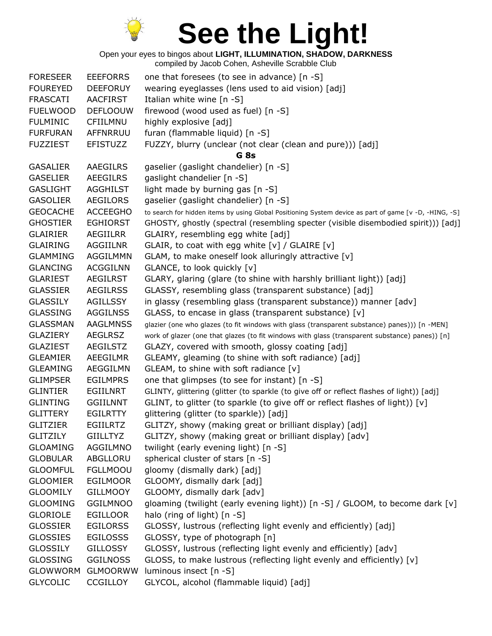

| <b>FORESEER</b> | <b>EEEFORRS</b> | one that foresees (to see in advance) [n -S]                                                           |
|-----------------|-----------------|--------------------------------------------------------------------------------------------------------|
| <b>FOUREYED</b> | <b>DEEFORUY</b> | wearing eyeglasses (lens used to aid vision) [adj]                                                     |
| <b>FRASCATI</b> | <b>AACFIRST</b> | Italian white wine $[n - S]$                                                                           |
| <b>FUELWOOD</b> | <b>DEFLOOUW</b> | firewood (wood used as fuel) [n -S]                                                                    |
| <b>FULMINIC</b> | CFIILMNU        | highly explosive [adj]                                                                                 |
| <b>FURFURAN</b> | AFFNRRUU        | furan (flammable liquid) [n -S]                                                                        |
| <b>FUZZIEST</b> | <b>EFISTUZZ</b> | FUZZY, blurry (unclear (not clear (clean and pure))) [adj]                                             |
|                 |                 | G <sub>8s</sub>                                                                                        |
| <b>GASALIER</b> | AAEGILRS        | gaselier (gaslight chandelier) [n -S]                                                                  |
| <b>GASELIER</b> | <b>AEEGILRS</b> | gaslight chandelier [n -S]                                                                             |
| <b>GASLIGHT</b> | <b>AGGHILST</b> | light made by burning gas [n -S]                                                                       |
| <b>GASOLIER</b> | <b>AEGILORS</b> | gaselier (gaslight chandelier) [n -S]                                                                  |
| <b>GEOCACHE</b> | <b>ACCEEGHO</b> |                                                                                                        |
| <b>GHOSTIER</b> |                 | to search for hidden items by using Global Positioning System device as part of game [v -D, -HING, -S] |
|                 | <b>EGHIORST</b> | GHOSTY, ghostly (spectral (resembling specter (visible disembodied spirit))) [adj]                     |
| <b>GLAIRIER</b> | <b>AEGIILRR</b> | GLAIRY, resembling egg white [adj]                                                                     |
| <b>GLAIRING</b> | AGGIILNR        | GLAIR, to coat with egg white [v] / GLAIRE [v]                                                         |
| <b>GLAMMING</b> | <b>AGGILMMN</b> | GLAM, to make oneself look alluringly attractive [v]                                                   |
| <b>GLANCING</b> | <b>ACGGILNN</b> | GLANCE, to look quickly [v]                                                                            |
| <b>GLARIEST</b> | AEGILRST        | GLARY, glaring (glare (to shine with harshly brilliant light)) [adj]                                   |
| <b>GLASSIER</b> | <b>AEGILRSS</b> | GLASSY, resembling glass (transparent substance) [adj]                                                 |
| <b>GLASSILY</b> | <b>AGILLSSY</b> | in glassy (resembling glass (transparent substance)) manner [adv]                                      |
| <b>GLASSING</b> | <b>AGGILNSS</b> | GLASS, to encase in glass (transparent substance) [v]                                                  |
| <b>GLASSMAN</b> | <b>AAGLMNSS</b> | glazier (one who glazes (to fit windows with glass (transparent substance) panes))) [n -MEN]           |
| <b>GLAZIERY</b> | <b>AEGLRSZ</b>  | work of glazer (one that glazes (to fit windows with glass (transparent substance) panes)) [n]         |
| <b>GLAZIEST</b> | AEGILSTZ        | GLAZY, covered with smooth, glossy coating [adj]                                                       |
| <b>GLEAMIER</b> | <b>AEEGILMR</b> | GLEAMY, gleaming (to shine with soft radiance) [adj]                                                   |
| <b>GLEAMING</b> | AEGGILMN        | GLEAM, to shine with soft radiance [v]                                                                 |
| <b>GLIMPSER</b> | <b>EGILMPRS</b> | one that glimpses (to see for instant) [n -S]                                                          |
| <b>GLINTIER</b> | EGIILNRT        | GLINTY, glittering (glitter (to sparkle (to give off or reflect flashes of light)) [adj]               |
| <b>GLINTING</b> | <b>GGIILNNT</b> | GLINT, to glitter (to sparkle (to give off or reflect flashes of light)) [v]                           |
| <b>GLITTERY</b> | <b>EGILRTTY</b> | glittering (glitter (to sparkle)) [adj]                                                                |
| <b>GLITZIER</b> | <b>EGIILRTZ</b> | GLITZY, showy (making great or brilliant display) [adj]                                                |
| <b>GLITZILY</b> | <b>GIILLTYZ</b> | GLITZY, showy (making great or brilliant display) [adv]                                                |
| <b>GLOAMING</b> | AGGILMNO        | twilight (early evening light) [n -S]                                                                  |
| <b>GLOBULAR</b> | ABGLLORU        | spherical cluster of stars [n -S]                                                                      |
| <b>GLOOMFUL</b> | <b>FGLLMOOU</b> | gloomy (dismally dark) [adj]                                                                           |
| <b>GLOOMIER</b> | <b>EGILMOOR</b> | GLOOMY, dismally dark [adj]                                                                            |
| <b>GLOOMILY</b> | <b>GILLMOOY</b> | GLOOMY, dismally dark [adv]                                                                            |
| <b>GLOOMING</b> | <b>GGILMNOO</b> | gloaming (twilight (early evening light)) [n -S] / GLOOM, to become dark [v]                           |
| <b>GLORIOLE</b> | <b>EGILLOOR</b> | halo (ring of light) [n -S]                                                                            |
| <b>GLOSSIER</b> | <b>EGILORSS</b> | GLOSSY, lustrous (reflecting light evenly and efficiently) [adj]                                       |
| <b>GLOSSIES</b> | <b>EGILOSSS</b> | GLOSSY, type of photograph [n]                                                                         |
| <b>GLOSSILY</b> | <b>GILLOSSY</b> | GLOSSY, lustrous (reflecting light evenly and efficiently) [adv]                                       |
| <b>GLOSSING</b> | <b>GGILNOSS</b> | GLOSS, to make lustrous (reflecting light evenly and efficiently) [v]                                  |
| GLOWWORM        | <b>GLMOORWW</b> | luminous insect [n -S]                                                                                 |
| <b>GLYCOLIC</b> | <b>CCGILLOY</b> | GLYCOL, alcohol (flammable liquid) [adj]                                                               |
|                 |                 |                                                                                                        |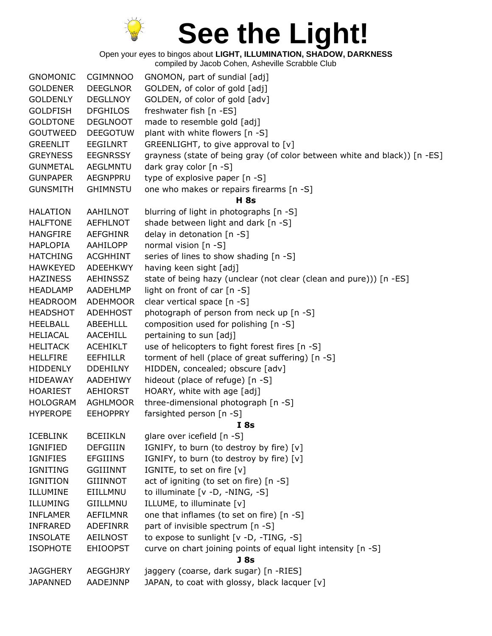

| <b>GNOMONIC</b> | <b>CGIMNNOO</b> | GNOMON, part of sundial [adj]                                             |
|-----------------|-----------------|---------------------------------------------------------------------------|
| <b>GOLDENER</b> | <b>DEEGLNOR</b> | GOLDEN, of color of gold [adj]                                            |
| <b>GOLDENLY</b> | <b>DEGLLNOY</b> | GOLDEN, of color of gold [adv]                                            |
| <b>GOLDFISH</b> | <b>DFGHILOS</b> | freshwater fish [n -ES]                                                   |
| <b>GOLDTONE</b> | <b>DEGLNOOT</b> | made to resemble gold [adj]                                               |
| <b>GOUTWEED</b> | <b>DEEGOTUW</b> | plant with white flowers [n -S]                                           |
| <b>GREENLIT</b> | <b>EEGILNRT</b> | GREENLIGHT, to give approval to [v]                                       |
| <b>GREYNESS</b> | <b>EEGNRSSY</b> | grayness (state of being gray (of color between white and black)) [n -ES] |
| <b>GUNMETAL</b> | <b>AEGLMNTU</b> | dark gray color [n -S]                                                    |
| <b>GUNPAPER</b> | <b>AEGNPPRU</b> | type of explosive paper [n -S]                                            |
| <b>GUNSMITH</b> | <b>GHIMNSTU</b> | one who makes or repairs firearms [n -S]                                  |
|                 |                 | <b>H</b> 8s                                                               |
| <b>HALATION</b> | AAHILNOT        | blurring of light in photographs [n -S]                                   |
| <b>HALFTONE</b> | <b>AEFHLNOT</b> | shade between light and dark [n -S]                                       |
| <b>HANGFIRE</b> | <b>AEFGHINR</b> | delay in detonation [n -S]                                                |
| <b>HAPLOPIA</b> | AAHILOPP        | normal vision [n -S]                                                      |
| <b>HATCHING</b> | <b>ACGHHINT</b> | series of lines to show shading [n -S]                                    |
| <b>HAWKEYED</b> | ADEEHKWY        | having keen sight [adj]                                                   |
| <b>HAZINESS</b> | AEHINSSZ        | state of being hazy (unclear (not clear (clean and pure))) [n -ES]        |
| <b>HEADLAMP</b> | AADEHLMP        | light on front of car [n -S]                                              |
| <b>HEADROOM</b> | <b>ADEHMOOR</b> | clear vertical space [n -S]                                               |
| <b>HEADSHOT</b> | <b>ADEHHOST</b> | photograph of person from neck up [n -S]                                  |
| <b>HEELBALL</b> | <b>ABEEHLLL</b> | composition used for polishing [n -S]                                     |
| <b>HELIACAL</b> | <b>AACEHILL</b> | pertaining to sun [adj]                                                   |
| <b>HELITACK</b> | <b>ACEHIKLT</b> | use of helicopters to fight forest fires [n -S]                           |
| <b>HELLFIRE</b> | <b>EEFHILLR</b> | torment of hell (place of great suffering) [n -S]                         |
| HIDDENLY        | <b>DDEHILNY</b> | HIDDEN, concealed; obscure [adv]                                          |
| HIDEAWAY        | AADEHIWY        | hideout (place of refuge) [n -S]                                          |
| <b>HOARIEST</b> | <b>AEHIORST</b> | HOARY, white with age [adj]                                               |
| <b>HOLOGRAM</b> | <b>AGHLMOOR</b> | three-dimensional photograph [n -S]                                       |
| <b>HYPEROPE</b> | <b>EEHOPPRY</b> | farsighted person [n -S]                                                  |
|                 |                 | <b>I</b> 8s                                                               |
| <b>ICEBLINK</b> | <b>BCEIIKLN</b> | glare over icefield [n -S]                                                |
| IGNIFIED        | <b>DEFGIIIN</b> | IGNIFY, to burn (to destroy by fire) [v]                                  |
| <b>IGNIFIES</b> | <b>EFGIIINS</b> | IGNIFY, to burn (to destroy by fire) [v]                                  |
| <b>IGNITING</b> | <b>GGIIINNT</b> | IGNITE, to set on fire [v]                                                |
| <b>IGNITION</b> | <b>GIIINNOT</b> | act of igniting (to set on fire) [n -S]                                   |
| ILLUMINE        | EIILLMNU        | to illuminate [v -D, -NING, -S]                                           |
| ILLUMING        | <b>GIILLMNU</b> | ILLUME, to illuminate [v]                                                 |
| <b>INFLAMER</b> | AEFILMNR        | one that inflames (to set on fire) [n -S]                                 |
| <b>INFRARED</b> | ADEFINRR        | part of invisible spectrum [n -S]                                         |
| <b>INSOLATE</b> | AEILNOST        | to expose to sunlight [v -D, -TING, -S]                                   |
| <b>ISOPHOTE</b> | <b>EHIOOPST</b> | curve on chart joining points of equal light intensity [n -S]             |
|                 |                 | J <sub>8s</sub>                                                           |
| <b>JAGGHERY</b> | AEGGHJRY        | jaggery (coarse, dark sugar) [n -RIES]                                    |
| <b>JAPANNED</b> | AADEJNNP        | JAPAN, to coat with glossy, black lacquer [v]                             |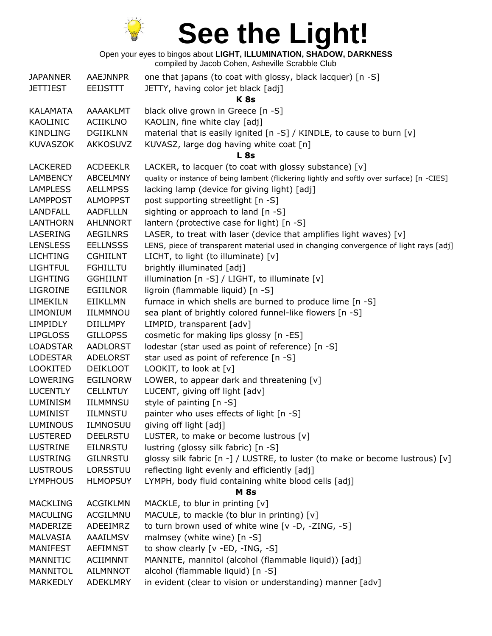

| <b>JAPANNER</b> | <b>AAEJNNPR</b> | one that japans (to coat with glossy, black lacquer) [n -S]                                 |
|-----------------|-----------------|---------------------------------------------------------------------------------------------|
| <b>JETTIEST</b> | <b>EEIJSTTT</b> | JETTY, having color jet black [adj]                                                         |
|                 |                 | <b>K8s</b>                                                                                  |
| KALAMATA        | AAAAKLMT        | black olive grown in Greece [n -S]                                                          |
| KAOLINIC        | <b>ACIIKLNO</b> | KAOLIN, fine white clay [adj]                                                               |
| <b>KINDLING</b> | <b>DGIIKLNN</b> | material that is easily ignited [n -S] / KINDLE, to cause to burn [v]                       |
| <b>KUVASZOK</b> | <b>AKKOSUVZ</b> | KUVASZ, large dog having white coat [n]                                                     |
|                 |                 | L <sub>8s</sub>                                                                             |
| <b>LACKERED</b> | <b>ACDEEKLR</b> | LACKER, to lacquer (to coat with glossy substance) [v]                                      |
| <b>LAMBENCY</b> | <b>ABCELMNY</b> | quality or instance of being lambent (flickering lightly and softly over surface) [n -CIES] |
| <b>LAMPLESS</b> | <b>AELLMPSS</b> | lacking lamp (device for giving light) [adj]                                                |
| <b>LAMPPOST</b> | <b>ALMOPPST</b> | post supporting streetlight [n -S]                                                          |
| <b>LANDFALL</b> | <b>AADFLLLN</b> | sighting or approach to land [n -S]                                                         |
| <b>LANTHORN</b> | <b>AHLNNORT</b> | lantern (protective case for light) [n -S]                                                  |
| LASERING        | <b>AEGILNRS</b> | LASER, to treat with laser (device that amplifies light waves) [v]                          |
| <b>LENSLESS</b> | <b>EELLNSSS</b> | LENS, piece of transparent material used in changing convergence of light rays [adj]        |
| <b>LICHTING</b> | <b>CGHIILNT</b> | LICHT, to light (to illuminate) [v]                                                         |
| <b>LIGHTFUL</b> | <b>FGHILLTU</b> | brightly illuminated [adj]                                                                  |
| <b>LIGHTING</b> | <b>GGHIILNT</b> | illumination [n -S] / LIGHT, to illuminate [v]                                              |
| <b>LIGROINE</b> | <b>EGIILNOR</b> | ligroin (flammable liquid) [n -S]                                                           |
| LIMEKILN        | <b>EIIKLLMN</b> | furnace in which shells are burned to produce lime [n -S]                                   |
| <b>LIMONIUM</b> | <b>IILMMNOU</b> | sea plant of brightly colored funnel-like flowers [n -S]                                    |
| <b>LIMPIDLY</b> | <b>DIILLMPY</b> | LIMPID, transparent [adv]                                                                   |
| <b>LIPGLOSS</b> | <b>GILLOPSS</b> | cosmetic for making lips glossy [n -ES]                                                     |
| <b>LOADSTAR</b> | <b>AADLORST</b> | lodestar (star used as point of reference) [n -S]                                           |
| <b>LODESTAR</b> | <b>ADELORST</b> | star used as point of reference [n -S]                                                      |
| <b>LOOKITED</b> | <b>DEIKLOOT</b> | LOOKIT, to look at $[v]$                                                                    |
| <b>LOWERING</b> | <b>EGILNORW</b> | LOWER, to appear dark and threatening $[v]$                                                 |
| <b>LUCENTLY</b> | <b>CELLNTUY</b> | LUCENT, giving off light [adv]                                                              |
| <b>LUMINISM</b> | IILMMNSU        | style of painting [n -S]                                                                    |
| <b>LUMINIST</b> | <b>IILMNSTU</b> | painter who uses effects of light [n -S]                                                    |
| <b>LUMINOUS</b> | <b>ILMNOSUU</b> | giving off light [adj]                                                                      |
| <b>LUSTERED</b> | <b>DEELRSTU</b> | LUSTER, to make or become lustrous [v]                                                      |
| <b>LUSTRINE</b> | <b>EILNRSTU</b> | lustring (glossy silk fabric) [n -S]                                                        |
| <b>LUSTRING</b> | <b>GILNRSTU</b> | glossy silk fabric [n -] / LUSTRE, to luster (to make or become lustrous) [v]               |
| <b>LUSTROUS</b> | LORSSTUU        | reflecting light evenly and efficiently [adj]                                               |
| <b>LYMPHOUS</b> | <b>HLMOPSUY</b> | LYMPH, body fluid containing white blood cells [adj]                                        |
|                 |                 | <b>M</b> 8s                                                                                 |
| <b>MACKLING</b> | <b>ACGIKLMN</b> | MACKLE, to blur in printing [v]                                                             |
| <b>MACULING</b> | ACGILMNU        | MACULE, to mackle (to blur in printing) [v]                                                 |
| MADERIZE        | ADEEIMRZ        | to turn brown used of white wine [v -D, -ZING, -S]                                          |
| MALVASIA        | AAAILMSV        | malmsey (white wine) [n -S]                                                                 |
| <b>MANIFEST</b> | <b>AEFIMNST</b> | to show clearly [v -ED, -ING, -S]                                                           |
| MANNITIC        | <b>ACIIMNNT</b> | MANNITE, mannitol (alcohol (flammable liquid)) [adj]                                        |
| MANNITOL        | <b>AILMNNOT</b> | alcohol (flammable liquid) [n -S]                                                           |
| <b>MARKEDLY</b> | ADEKLMRY        | in evident (clear to vision or understanding) manner [adv]                                  |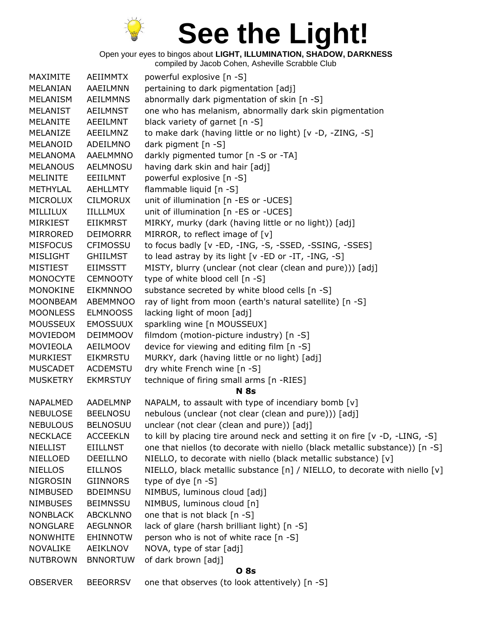

Open your eyes to bingos about **LIGHT, ILLUMINATION, SHADOW, DARKNESS**

| MAXIMITE        | AEIIMMTX        | powerful explosive [n -S]                                                      |
|-----------------|-----------------|--------------------------------------------------------------------------------|
| MELANIAN        | AAEILMNN        | pertaining to dark pigmentation [adj]                                          |
| MELANISM        | <b>AEILMMNS</b> | abnormally dark pigmentation of skin [n -S]                                    |
| <b>MELANIST</b> | <b>AEILMNST</b> | one who has melanism, abnormally dark skin pigmentation                        |
| <b>MELANITE</b> | AEEILMNT        | black variety of garnet [n -S]                                                 |
| MELANIZE        | AEEILMNZ        | to make dark (having little or no light) [v -D, -ZING, -S]                     |
| MELANOID        | ADEILMNO        | dark pigment [n -S]                                                            |
| <b>MELANOMA</b> | AAELMMNO        | darkly pigmented tumor [n -S or -TA]                                           |
| <b>MELANOUS</b> | <b>AELMNOSU</b> | having dark skin and hair [adj]                                                |
| <b>MELINITE</b> | EEIILMNT        | powerful explosive [n -S]                                                      |
| <b>METHYLAL</b> | AEHLLMTY        | flammable liquid [n -S]                                                        |
| <b>MICROLUX</b> | <b>CILMORUX</b> | unit of illumination [n -ES or -UCES]                                          |
| MILLILUX        | <b>IILLLMUX</b> | unit of illumination [n -ES or -UCES]                                          |
| MIRKIEST        | <b>EIIKMRST</b> | MIRKY, murky (dark (having little or no light)) [adj]                          |
| MIRRORED        | <b>DEIMORRR</b> | MIRROR, to reflect image of [v]                                                |
| <b>MISFOCUS</b> | <b>CFIMOSSU</b> | to focus badly [v -ED, -ING, -S, -SSED, -SSING, -SSES]                         |
| <b>MISLIGHT</b> | <b>GHIILMST</b> | to lead astray by its light [v -ED or -IT, -ING, -S]                           |
| <b>MISTIEST</b> | <b>EIIMSSTT</b> | MISTY, blurry (unclear (not clear (clean and pure))) [adj]                     |
| <b>MONOCYTE</b> | <b>CEMNOOTY</b> | type of white blood cell [n -S]                                                |
| MONOKINE        | <b>EIKMNNOO</b> | substance secreted by white blood cells [n -S]                                 |
| <b>MOONBEAM</b> | <b>ABEMMNOO</b> | ray of light from moon (earth's natural satellite) [n -S]                      |
| <b>MOONLESS</b> | <b>ELMNOOSS</b> | lacking light of moon [adj]                                                    |
| <b>MOUSSEUX</b> | <b>EMOSSUUX</b> | sparkling wine [n MOUSSEUX]                                                    |
| MOVIEDOM        | <b>DEIMMOOV</b> | filmdom (motion-picture industry) [n -S]                                       |
| MOVIEOLA        | AEILMOOV        | device for viewing and editing film [n -S]                                     |
| <b>MURKIEST</b> | <b>EIKMRSTU</b> | MURKY, dark (having little or no light) [adj]                                  |
| <b>MUSCADET</b> | <b>ACDEMSTU</b> | dry white French wine [n -S]                                                   |
| <b>MUSKETRY</b> | <b>EKMRSTUY</b> | technique of firing small arms [n -RIES]                                       |
|                 |                 | <b>N</b> 8s                                                                    |
| <b>NAPALMED</b> | AADELMNP        | NAPALM, to assault with type of incendiary bomb [v]                            |
| <b>NEBULOSE</b> | <b>BEELNOSU</b> | nebulous (unclear (not clear (clean and pure))) [adj]                          |
| <b>NEBULOUS</b> | <b>BELNOSUU</b> | unclear (not clear (clean and pure)) [adj]                                     |
| <b>NECKLACE</b> | <b>ACCEEKLN</b> | to kill by placing tire around neck and setting it on fire $[v -D, -LING, -S]$ |
| <b>NIELLIST</b> | <b>EIILLNST</b> | one that niellos (to decorate with niello (black metallic substance)) [n -S]   |
| NIELLOED        | <b>DEEILLNO</b> | NIELLO, to decorate with niello (black metallic substance) [v]                 |
| <b>NIELLOS</b>  | <b>EILLNOS</b>  | NIELLO, black metallic substance [n] / NIELLO, to decorate with niello [v]     |
| <b>NIGROSIN</b> | <b>GIINNORS</b> | type of dye $[n - S]$                                                          |
| <b>NIMBUSED</b> | <b>BDEIMNSU</b> | NIMBUS, luminous cloud [adj]                                                   |
| <b>NIMBUSES</b> | <b>BEIMNSSU</b> | NIMBUS, luminous cloud [n]                                                     |
| <b>NONBLACK</b> | <b>ABCKLNNO</b> | one that is not black [n -S]                                                   |
| <b>NONGLARE</b> | <b>AEGLNNOR</b> | lack of glare (harsh brilliant light) [n -S]                                   |
| <b>NONWHITE</b> | <b>EHINNOTW</b> | person who is not of white race [n -S]                                         |
| <b>NOVALIKE</b> | AEIKLNOV        | NOVA, type of star [adj]                                                       |
| <b>NUTBROWN</b> | <b>BNNORTUW</b> | of dark brown [adj]                                                            |
|                 |                 | <b>O</b> 8s                                                                    |
| <b>OBSERVER</b> | <b>BEEORRSV</b> | one that observes (to look attentively) [n -S]                                 |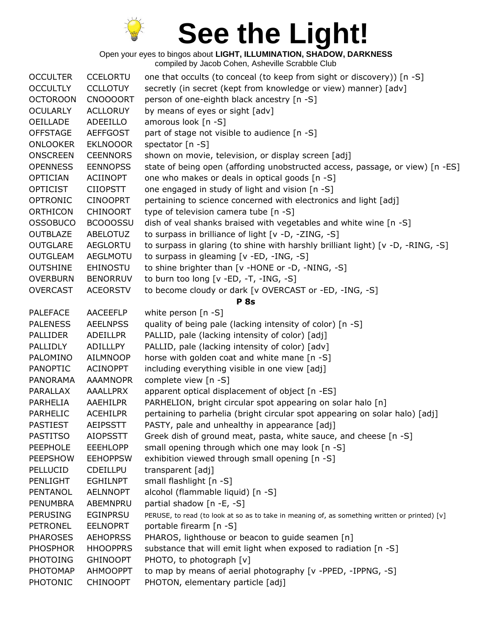

| <b>OCCULTER</b> | <b>CCELORTU</b> | one that occults (to conceal (to keep from sight or discovery)) [n -S]                        |
|-----------------|-----------------|-----------------------------------------------------------------------------------------------|
| <b>OCCULTLY</b> | <b>CCLLOTUY</b> | secretly (in secret (kept from knowledge or view) manner) [adv]                               |
| <b>OCTOROON</b> | <b>CNOOOORT</b> | person of one-eighth black ancestry [n -S]                                                    |
| <b>OCULARLY</b> | <b>ACLLORUY</b> | by means of eyes or sight [adv]                                                               |
| OEILLADE        | ADEEILLO        | amorous look [n -S]                                                                           |
| <b>OFFSTAGE</b> | <b>AEFFGOST</b> | part of stage not visible to audience [n -S]                                                  |
| <b>ONLOOKER</b> | <b>EKLNOOOR</b> | spectator [n -S]                                                                              |
| <b>ONSCREEN</b> | <b>CEENNORS</b> | shown on movie, television, or display screen [adj]                                           |
| <b>OPENNESS</b> | <b>EENNOPSS</b> | state of being open (affording unobstructed access, passage, or view) [n -ES]                 |
| <b>OPTICIAN</b> | <b>ACIINOPT</b> | one who makes or deals in optical goods [n -S]                                                |
| <b>OPTICIST</b> | <b>CIIOPSTT</b> | one engaged in study of light and vision [n -S]                                               |
| <b>OPTRONIC</b> | <b>CINOOPRT</b> | pertaining to science concerned with electronics and light [adj]                              |
| <b>ORTHICON</b> | <b>CHINOORT</b> | type of television camera tube [n -S]                                                         |
| <b>OSSOBUCO</b> | <b>BCOOOSSU</b> | dish of veal shanks braised with vegetables and white wine [n -S]                             |
| <b>OUTBLAZE</b> | ABELOTUZ        | to surpass in brilliance of light [v -D, -ZING, -S]                                           |
| <b>OUTGLARE</b> | <b>AEGLORTU</b> | to surpass in glaring (to shine with harshly brilliant light) [v -D, -RING, -S]               |
| <b>OUTGLEAM</b> | <b>AEGLMOTU</b> | to surpass in gleaming [v -ED, -ING, -S]                                                      |
| <b>OUTSHINE</b> | <b>EHINOSTU</b> | to shine brighter than [v -HONE or -D, -NING, -S]                                             |
| <b>OVERBURN</b> | <b>BENORRUV</b> | to burn too long $[v - ED, -T, -ING, -S]$                                                     |
| <b>OVERCAST</b> | <b>ACEORSTV</b> | to become cloudy or dark [v OVERCAST or -ED, -ING, -S]                                        |
|                 |                 | <b>P</b> 8s                                                                                   |
| <b>PALEFACE</b> | <b>AACEEFLP</b> | white person [n -S]                                                                           |
| <b>PALENESS</b> | <b>AEELNPSS</b> | quality of being pale (lacking intensity of color) [n -S]                                     |
| <b>PALLIDER</b> | <b>ADEILLPR</b> | PALLID, pale (lacking intensity of color) [adj]                                               |
| PALLIDLY        | ADILLLPY        | PALLID, pale (lacking intensity of color) [adv]                                               |
| PALOMINO        | <b>AILMNOOP</b> | horse with golden coat and white mane [n -S]                                                  |
| <b>PANOPTIC</b> | <b>ACINOPPT</b> | including everything visible in one view [adj]                                                |
| <b>PANORAMA</b> | <b>AAAMNOPR</b> | complete view [n -S]                                                                          |
| PARALLAX        | <b>AAALLPRX</b> | apparent optical displacement of object [n -ES]                                               |
| PARHELIA        | AAEHILPR        | PARHELION, bright circular spot appearing on solar halo [n]                                   |
| PARHELIC        | <b>ACEHILPR</b> | pertaining to parhelia (bright circular spot appearing on solar halo) [adj]                   |
| <b>PASTIEST</b> | <b>AEIPSSTT</b> | PASTY, pale and unhealthy in appearance [adj]                                                 |
| <b>PASTITSO</b> | <b>AIOPSSTT</b> | Greek dish of ground meat, pasta, white sauce, and cheese [n -S]                              |
| <b>PEEPHOLE</b> | <b>EEEHLOPP</b> | small opening through which one may look [n -S]                                               |
| <b>PEEPSHOW</b> | <b>EEHOPPSW</b> | exhibition viewed through small opening [n -S]                                                |
| PELLUCID        | <b>CDEILLPU</b> | transparent [adj]                                                                             |
| PENLIGHT        | <b>EGHILNPT</b> | small flashlight [n -S]                                                                       |
| PENTANOL        | <b>AELNNOPT</b> | alcohol (flammable liquid) [n -S]                                                             |
| <b>PENUMBRA</b> | ABEMNPRU        | partial shadow [n -E, -S]                                                                     |
| <b>PERUSING</b> | <b>EGINPRSU</b> | PERUSE, to read (to look at so as to take in meaning of, as something written or printed) [v] |
| <b>PETRONEL</b> | <b>EELNOPRT</b> | portable firearm [n -S]                                                                       |
| <b>PHAROSES</b> | <b>AEHOPRSS</b> | PHAROS, lighthouse or beacon to guide seamen [n]                                              |
| <b>PHOSPHOR</b> | <b>HHOOPPRS</b> | substance that will emit light when exposed to radiation [n -S]                               |
| <b>PHOTOING</b> | <b>GHINOOPT</b> | PHOTO, to photograph [v]                                                                      |
| <b>PHOTOMAP</b> | <b>AHMOOPPT</b> | to map by means of aerial photography [v -PPED, -IPPNG, -S]                                   |
| <b>PHOTONIC</b> | <b>CHINOOPT</b> | PHOTON, elementary particle [adj]                                                             |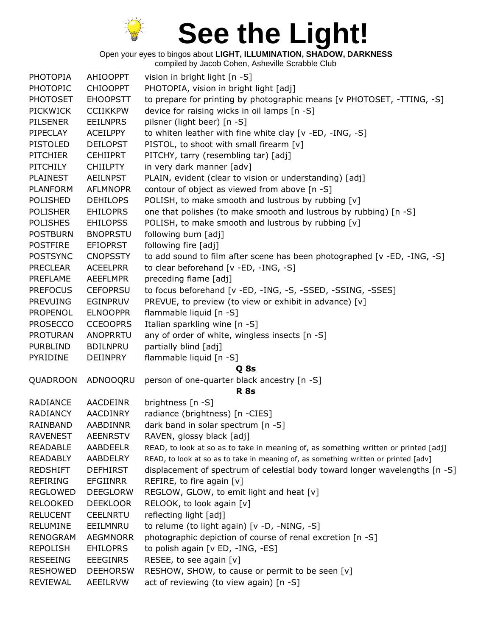

Open your eyes to bingos about **LIGHT, ILLUMINATION, SHADOW, DARKNESS**

| <b>PHOTOPIA</b> | <b>AHIOOPPT</b> | vision in bright light [n -S]                                                       |
|-----------------|-----------------|-------------------------------------------------------------------------------------|
| <b>PHOTOPIC</b> | <b>CHIOOPPT</b> | PHOTOPIA, vision in bright light [adj]                                              |
| <b>PHOTOSET</b> | <b>EHOOPSTT</b> | to prepare for printing by photographic means [v PHOTOSET, -TTING, -S]              |
| <b>PICKWICK</b> | <b>CCIIKKPW</b> | device for raising wicks in oil lamps [n -S]                                        |
| <b>PILSENER</b> | <b>EEILNPRS</b> | pilsner (light beer) [n -S]                                                         |
| PIPECLAY        | <b>ACEILPPY</b> | to whiten leather with fine white clay [v -ED, -ING, -S]                            |
| <b>PISTOLED</b> | <b>DEILOPST</b> | PISTOL, to shoot with small firearm [v]                                             |
| <b>PITCHIER</b> | <b>CEHIIPRT</b> | PITCHY, tarry (resembling tar) [adj]                                                |
| <b>PITCHILY</b> | <b>CHIILPTY</b> | in very dark manner [adv]                                                           |
| <b>PLAINEST</b> | <b>AEILNPST</b> | PLAIN, evident (clear to vision or understanding) [adj]                             |
| <b>PLANFORM</b> | <b>AFLMNOPR</b> | contour of object as viewed from above [n -S]                                       |
| <b>POLISHED</b> | <b>DEHILOPS</b> | POLISH, to make smooth and lustrous by rubbing [v]                                  |
| <b>POLISHER</b> | <b>EHILOPRS</b> | one that polishes (to make smooth and lustrous by rubbing) [n -S]                   |
| <b>POLISHES</b> | <b>EHILOPSS</b> | POLISH, to make smooth and lustrous by rubbing [v]                                  |
| <b>POSTBURN</b> | <b>BNOPRSTU</b> | following burn [adj]                                                                |
| <b>POSTFIRE</b> | <b>EFIOPRST</b> | following fire [adj]                                                                |
| <b>POSTSYNC</b> | <b>CNOPSSTY</b> | to add sound to film after scene has been photographed [v -ED, -ING, -S]            |
| <b>PRECLEAR</b> | <b>ACEELPRR</b> | to clear beforehand [v -ED, -ING, -S]                                               |
| PREFLAME        | <b>AEEFLMPR</b> | preceding flame [adj]                                                               |
| <b>PREFOCUS</b> | <b>CEFOPRSU</b> | to focus beforehand [v -ED, -ING, -S, -SSED, -SSING, -SSES]                         |
| <b>PREVUING</b> | <b>EGINPRUV</b> | PREVUE, to preview (to view or exhibit in advance) [v]                              |
| <b>PROPENOL</b> | <b>ELNOOPPR</b> | flammable liquid [n -S]                                                             |
| <b>PROSECCO</b> | <b>CCEOOPRS</b> | Italian sparkling wine [n -S]                                                       |
| <b>PROTURAN</b> | ANOPRRTU        | any of order of white, wingless insects [n -S]                                      |
| <b>PURBLIND</b> | <b>BDILNPRU</b> | partially blind [adj]                                                               |
| PYRIDINE        | <b>DEIINPRY</b> | flammable liquid [n -S]                                                             |
|                 |                 | Q 8s                                                                                |
| QUADROON        | ADNOOQRU        | person of one-quarter black ancestry [n -S]                                         |
|                 |                 | <b>R</b> 8s                                                                         |
| RADIANCE        | AACDEINR        | brightness [n -S]                                                                   |
| <b>RADIANCY</b> | <b>AACDINRY</b> | radiance (brightness) [n -CIES]                                                     |
| RAINBAND        | AABDINNR        | dark band in solar spectrum [n -S]                                                  |
| <b>RAVENEST</b> | <b>AEENRSTV</b> | RAVEN, glossy black [adj]                                                           |
| <b>READABLE</b> | <b>AABDEELR</b> | READ, to look at so as to take in meaning of, as something written or printed [adj] |
| <b>READABLY</b> | AABDELRY        | READ, to look at so as to take in meaning of, as something written or printed [adv] |
| <b>REDSHIFT</b> | <b>DEFHIRST</b> | displacement of spectrum of celestial body toward longer wavelengths [n -S]         |
| REFIRING        | <b>EFGIINRR</b> | REFIRE, to fire again $[v]$                                                         |
| <b>REGLOWED</b> | <b>DEEGLORW</b> | REGLOW, GLOW, to emit light and heat [v]                                            |
| <b>RELOOKED</b> | <b>DEEKLOOR</b> | RELOOK, to look again [v]                                                           |
| <b>RELUCENT</b> | <b>CEELNRTU</b> | reflecting light [adj]                                                              |
| <b>RELUMINE</b> | EEILMNRU        | to relume (to light again) [v -D, -NING, -S]                                        |
| RENOGRAM        | AEGMNORR        | photographic depiction of course of renal excretion [n -S]                          |
| <b>REPOLISH</b> | <b>EHILOPRS</b> | to polish again [v ED, -ING, -ES]                                                   |
| <b>RESEEING</b> | <b>EEEGINRS</b> | RESEE, to see again [v]                                                             |
| <b>RESHOWED</b> | <b>DEEHORSW</b> | RESHOW, SHOW, to cause or permit to be seen [v]                                     |
| <b>REVIEWAL</b> | AEEILRVW        | act of reviewing (to view again) [n -S]                                             |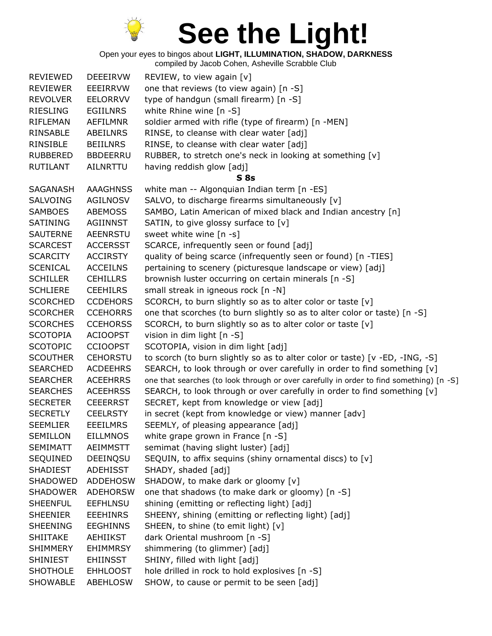

Open your eyes to bingos about **LIGHT, ILLUMINATION, SHADOW, DARKNESS**

| <b>REVIEWED</b> | <b>DEEEIRVW</b> | REVIEW, to view again [v]                                                               |
|-----------------|-----------------|-----------------------------------------------------------------------------------------|
| <b>REVIEWER</b> | <b>EEEIRRVW</b> | one that reviews (to view again) [n -S]                                                 |
| <b>REVOLVER</b> | <b>EELORRVV</b> | type of handgun (small firearm) [n -S]                                                  |
| <b>RIESLING</b> | <b>EGIILNRS</b> | white Rhine wine [n -S]                                                                 |
| <b>RIFLEMAN</b> | <b>AEFILMNR</b> | soldier armed with rifle (type of firearm) [n -MEN]                                     |
| RINSABLE        | <b>ABEILNRS</b> | RINSE, to cleanse with clear water [adj]                                                |
| RINSIBLE        | <b>BEIILNRS</b> | RINSE, to cleanse with clear water [adj]                                                |
| <b>RUBBERED</b> | <b>BBDEERRU</b> | RUBBER, to stretch one's neck in looking at something [v]                               |
| <b>RUTILANT</b> | <b>AILNRTTU</b> | having reddish glow [adj]                                                               |
|                 |                 | <b>S</b> 8s                                                                             |
| SAGANASH        | <b>AAAGHNSS</b> | white man -- Algonquian Indian term [n -ES]                                             |
| <b>SALVOING</b> | <b>AGILNOSV</b> | SALVO, to discharge firearms simultaneously [v]                                         |
| <b>SAMBOES</b>  | ABEMOSS         | SAMBO, Latin American of mixed black and Indian ancestry [n]                            |
| SATINING        | AGIINNST        | SATIN, to give glossy surface to [v]                                                    |
| <b>SAUTERNE</b> | <b>AEENRSTU</b> | sweet white wine [n -s]                                                                 |
| <b>SCARCEST</b> | <b>ACCERSST</b> | SCARCE, infrequently seen or found [adj]                                                |
| <b>SCARCITY</b> | <b>ACCIRSTY</b> | quality of being scarce (infrequently seen or found) [n -TIES]                          |
| <b>SCENICAL</b> | <b>ACCEILNS</b> | pertaining to scenery (picturesque landscape or view) [adj]                             |
| <b>SCHILLER</b> | <b>CEHILLRS</b> | brownish luster occurring on certain minerals [n -S]                                    |
| <b>SCHLIERE</b> | <b>CEEHILRS</b> | small streak in igneous rock [n -N]                                                     |
| <b>SCORCHED</b> | <b>CCDEHORS</b> | SCORCH, to burn slightly so as to alter color or taste [v]                              |
| <b>SCORCHER</b> | <b>CCEHORRS</b> | one that scorches (to burn slightly so as to alter color or taste) [n -S]               |
| <b>SCORCHES</b> | <b>CCEHORSS</b> | SCORCH, to burn slightly so as to alter color or taste [v]                              |
| <b>SCOTOPIA</b> | <b>ACIOOPST</b> | vision in dim light [n -S]                                                              |
| <b>SCOTOPIC</b> | <b>CCIOOPST</b> | SCOTOPIA, vision in dim light [adj]                                                     |
| <b>SCOUTHER</b> | <b>CEHORSTU</b> | to scorch (to burn slightly so as to alter color or taste) [v -ED, -ING, -S]            |
| <b>SEARCHED</b> | <b>ACDEEHRS</b> | SEARCH, to look through or over carefully in order to find something [v]                |
| <b>SEARCHER</b> | <b>ACEEHRRS</b> | one that searches (to look through or over carefully in order to find something) [n -S] |
| <b>SEARCHES</b> | <b>ACEEHRSS</b> | SEARCH, to look through or over carefully in order to find something [v]                |
| <b>SECRETER</b> | <b>CEEERRST</b> | SECRET, kept from knowledge or view [adj]                                               |
| <b>SECRETLY</b> | <b>CEELRSTY</b> | in secret (kept from knowledge or view) manner [adv]                                    |
| <b>SEEMLIER</b> | <b>EEEILMRS</b> | SEEMLY, of pleasing appearance [adj]                                                    |
| SEMILLON        | <b>EILLMNOS</b> | white grape grown in France [n -S]                                                      |
| <b>SEMIMATT</b> | <b>AEIMMSTT</b> | semimat (having slight luster) [adj]                                                    |
| SEQUINED        | DEEINQSU        | SEQUIN, to affix sequins (shiny ornamental discs) to [v]                                |
| <b>SHADIEST</b> | ADEHISST        | SHADY, shaded [adj]                                                                     |
| SHADOWED        | <b>ADDEHOSW</b> | SHADOW, to make dark or gloomy [v]                                                      |
| <b>SHADOWER</b> | <b>ADEHORSW</b> | one that shadows (to make dark or gloomy) [n -S]                                        |
| <b>SHEENFUL</b> | <b>EEFHLNSU</b> | shining (emitting or reflecting light) [adj]                                            |
| <b>SHEENIER</b> | <b>EEEHINRS</b> | SHEENY, shining (emitting or reflecting light) [adj]                                    |
| <b>SHEENING</b> | <b>EEGHINNS</b> | SHEEN, to shine (to emit light) [v]                                                     |
| <b>SHIITAKE</b> | AEHIIKST        | dark Oriental mushroom [n -S]                                                           |
| <b>SHIMMERY</b> | <b>EHIMMRSY</b> | shimmering (to glimmer) [adj]                                                           |
| <b>SHINIEST</b> | <b>EHIINSST</b> | SHINY, filled with light [adj]                                                          |
| <b>SHOTHOLE</b> | <b>EHHLOOST</b> | hole drilled in rock to hold explosives [n -S]                                          |
| SHOWABLE        | ABEHLOSW        | SHOW, to cause or permit to be seen [adj]                                               |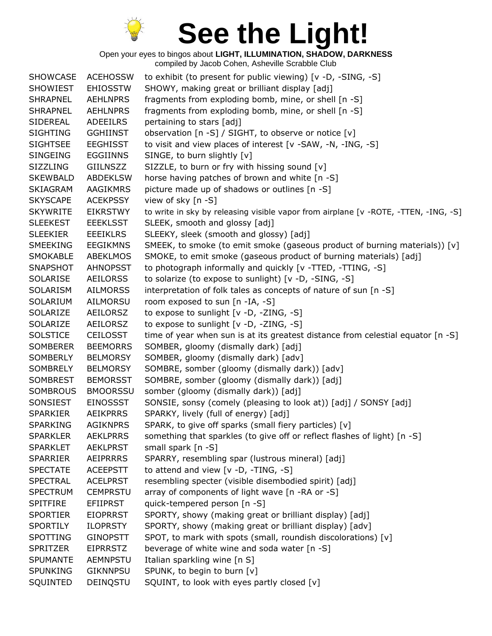

| <b>SHOWCASE</b> | <b>ACEHOSSW</b> | to exhibit (to present for public viewing) [v -D, -SING, -S]                        |
|-----------------|-----------------|-------------------------------------------------------------------------------------|
| <b>SHOWIEST</b> | <b>EHIOSSTW</b> | SHOWY, making great or brilliant display [adj]                                      |
| <b>SHRAPNEL</b> | <b>AEHLNPRS</b> | fragments from exploding bomb, mine, or shell [n -S]                                |
| <b>SHRAPNEL</b> | <b>AEHLNPRS</b> | fragments from exploding bomb, mine, or shell [n -S]                                |
| SIDEREAL        | <b>ADEEILRS</b> | pertaining to stars [adj]                                                           |
| <b>SIGHTING</b> | <b>GGHIINST</b> | observation [n -S] / SIGHT, to observe or notice [v]                                |
| <b>SIGHTSEE</b> | <b>EEGHISST</b> | to visit and view places of interest [v -SAW, -N, -ING, -S]                         |
| <b>SINGEING</b> | <b>EGGIINNS</b> | SINGE, to burn slightly [v]                                                         |
| <b>SIZZLING</b> | GIILNSZZ        | SIZZLE, to burn or fry with hissing sound [v]                                       |
| <b>SKEWBALD</b> | <b>ABDEKLSW</b> | horse having patches of brown and white [n -S]                                      |
| <b>SKIAGRAM</b> | <b>AAGIKMRS</b> | picture made up of shadows or outlines [n -S]                                       |
| <b>SKYSCAPE</b> | <b>ACEKPSSY</b> | view of sky [n -S]                                                                  |
| <b>SKYWRITE</b> | <b>EIKRSTWY</b> | to write in sky by releasing visible vapor from airplane [v -ROTE, -TTEN, -ING, -S] |
| <b>SLEEKEST</b> | <b>EEEKLSST</b> | SLEEK, smooth and glossy [adj]                                                      |
| <b>SLEEKIER</b> | <b>EEEIKLRS</b> | SLEEKY, sleek (smooth and glossy) [adj]                                             |
| SMEEKING        | <b>EEGIKMNS</b> | SMEEK, to smoke (to emit smoke (gaseous product of burning materials)) [v]          |
| <b>SMOKABLE</b> | <b>ABEKLMOS</b> | SMOKE, to emit smoke (gaseous product of burning materials) [adj]                   |
| <b>SNAPSHOT</b> | <b>AHNOPSST</b> | to photograph informally and quickly [v -TTED, -TTING, -S]                          |
| <b>SOLARISE</b> | <b>AEILORSS</b> | to solarize (to expose to sunlight) [v -D, -SING, -S]                               |
| SOLARISM        | <b>AILMORSS</b> | interpretation of folk tales as concepts of nature of sun [n -S]                    |
| SOLARIUM        | AILMORSU        | room exposed to sun [n -IA, -S]                                                     |
| SOLARIZE        | AEILORSZ        | to expose to sunlight [v -D, -ZING, -S]                                             |
| SOLARIZE        | <b>AEILORSZ</b> | to expose to sunlight [v -D, -ZING, -S]                                             |
| <b>SOLSTICE</b> | <b>CEILOSST</b> | time of year when sun is at its greatest distance from celestial equator [n -S]     |
| <b>SOMBERER</b> | <b>BEEMORRS</b> | SOMBER, gloomy (dismally dark) [adj]                                                |
| <b>SOMBERLY</b> | <b>BELMORSY</b> | SOMBER, gloomy (dismally dark) [adv]                                                |
| SOMBRELY        | <b>BELMORSY</b> | SOMBRE, somber (gloomy (dismally dark)) [adv]                                       |
| <b>SOMBREST</b> | <b>BEMORSST</b> | SOMBRE, somber (gloomy (dismally dark)) [adj]                                       |
| SOMBROUS        | <b>BMOORSSU</b> | somber (gloomy (dismally dark)) [adj]                                               |
| SONSIEST        | <b>EINOSSST</b> | SONSIE, sonsy (comely (pleasing to look at)) [adj] / SONSY [adj]                    |
| <b>SPARKIER</b> | <b>AEIKPRRS</b> | SPARKY, lively (full of energy) [adj]                                               |
| <b>SPARKING</b> | <b>AGIKNPRS</b> | SPARK, to give off sparks (small fiery particles) [v]                               |
| <b>SPARKLER</b> | <b>AEKLPRRS</b> | something that sparkles (to give off or reflect flashes of light) [n -S]            |
| <b>SPARKLET</b> | <b>AEKLPRST</b> | small spark [n -S]                                                                  |
| <b>SPARRIER</b> | <b>AEIPRRRS</b> | SPARRY, resembling spar (lustrous mineral) [adj]                                    |
| <b>SPECTATE</b> | <b>ACEEPSTT</b> | to attend and view $[v -D, -TING, -S]$                                              |
| <b>SPECTRAL</b> | <b>ACELPRST</b> | resembling specter (visible disembodied spirit) [adj]                               |
| <b>SPECTRUM</b> | <b>CEMPRSTU</b> | array of components of light wave [n -RA or -S]                                     |
| <b>SPITFIRE</b> | <b>EFIIPRST</b> | quick-tempered person [n -S]                                                        |
| <b>SPORTIER</b> | <b>EIOPRRST</b> | SPORTY, showy (making great or brilliant display) [adj]                             |
| <b>SPORTILY</b> | <b>ILOPRSTY</b> | SPORTY, showy (making great or brilliant display) [adv]                             |
| SPOTTING        | <b>GINOPSTT</b> | SPOT, to mark with spots (small, roundish discolorations) [v]                       |
| <b>SPRITZER</b> | <b>EIPRRSTZ</b> | beverage of white wine and soda water [n -S]                                        |
| <b>SPUMANTE</b> | <b>AEMNPSTU</b> | Italian sparkling wine [n S]                                                        |
| <b>SPUNKING</b> | <b>GIKNNPSU</b> | SPUNK, to begin to burn [v]                                                         |
| SQUINTED        | DEINQSTU        | SQUINT, to look with eyes partly closed [v]                                         |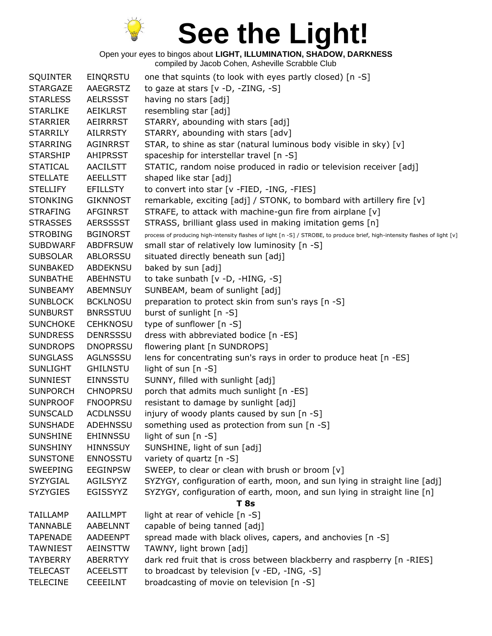

| <b>SQUINTER</b> | EINQRSTU        | one that squints (to look with eyes partly closed) [n -S]                                                                   |
|-----------------|-----------------|-----------------------------------------------------------------------------------------------------------------------------|
| <b>STARGAZE</b> | AAEGRSTZ        | to gaze at stars $[v -D, -ZING, -S]$                                                                                        |
| <b>STARLESS</b> | <b>AELRSSST</b> | having no stars [adj]                                                                                                       |
| <b>STARLIKE</b> | <b>AEIKLRST</b> | resembling star [adj]                                                                                                       |
| <b>STARRIER</b> | AEIRRRST        | STARRY, abounding with stars [adj]                                                                                          |
| <b>STARRILY</b> | <b>AILRRSTY</b> | STARRY, abounding with stars [adv]                                                                                          |
| <b>STARRING</b> | <b>AGINRRST</b> | STAR, to shine as star (natural luminous body visible in sky) [v]                                                           |
| <b>STARSHIP</b> | AHIPRSST        | spaceship for interstellar travel [n -S]                                                                                    |
| <b>STATICAL</b> | <b>AACILSTT</b> | STATIC, random noise produced in radio or television receiver [adj]                                                         |
| <b>STELLATE</b> | <b>AEELLSTT</b> | shaped like star [adj]                                                                                                      |
| <b>STELLIFY</b> | <b>EFILLSTY</b> | to convert into star [v -FIED, -ING, -FIES]                                                                                 |
| <b>STONKING</b> | <b>GIKNNOST</b> | remarkable, exciting [adj] / STONK, to bombard with artillery fire [v]                                                      |
| <b>STRAFING</b> | <b>AFGINRST</b> | STRAFE, to attack with machine-gun fire from airplane [v]                                                                   |
| <b>STRASSES</b> | <b>AERSSSST</b> | STRASS, brilliant glass used in making imitation gems [n]                                                                   |
| <b>STROBING</b> | <b>BGINORST</b> | process of producing high-intensity flashes of light [n -S] / STROBE, to produce brief, high-intensity flashes of light [v] |
| <b>SUBDWARF</b> | <b>ABDFRSUW</b> | small star of relatively low luminosity [n -S]                                                                              |
| <b>SUBSOLAR</b> | ABLORSSU        | situated directly beneath sun [adj]                                                                                         |
| <b>SUNBAKED</b> | ABDEKNSU        | baked by sun [adj]                                                                                                          |
| <b>SUNBATHE</b> | <b>ABEHNSTU</b> | to take sunbath [v -D, -HING, -S]                                                                                           |
| SUNBEAMY        | <b>ABEMNSUY</b> | SUNBEAM, beam of sunlight [adj]                                                                                             |
| <b>SUNBLOCK</b> | <b>BCKLNOSU</b> | preparation to protect skin from sun's rays [n -S]                                                                          |
| <b>SUNBURST</b> | <b>BNRSSTUU</b> | burst of sunlight [n -S]                                                                                                    |
| <b>SUNCHOKE</b> | <b>CEHKNOSU</b> | type of sunflower [n -S]                                                                                                    |
| <b>SUNDRESS</b> | <b>DENRSSSU</b> | dress with abbreviated bodice [n -ES]                                                                                       |
| <b>SUNDROPS</b> | <b>DNOPRSSU</b> | flowering plant [n SUNDROPS]                                                                                                |
| <b>SUNGLASS</b> | AGLNSSSU        | lens for concentrating sun's rays in order to produce heat [n -ES]                                                          |
| <b>SUNLIGHT</b> | <b>GHILNSTU</b> | light of sun [n -S]                                                                                                         |
| <b>SUNNIEST</b> | <b>EINNSSTU</b> | SUNNY, filled with sunlight [adj]                                                                                           |
| <b>SUNPORCH</b> | <b>CHNOPRSU</b> | porch that admits much sunlight [n -ES]                                                                                     |
| <b>SUNPROOF</b> | <b>FNOOPRSU</b> | resistant to damage by sunlight [adj]                                                                                       |
| <b>SUNSCALD</b> | <b>ACDLNSSU</b> | injury of woody plants caused by sun [n -S]                                                                                 |
| <b>SUNSHADE</b> | <b>ADEHNSSU</b> | something used as protection from sun [n -S]                                                                                |
| <b>SUNSHINE</b> | <b>EHINNSSU</b> | light of sun [n -S]                                                                                                         |
| <b>SUNSHINY</b> | <b>HINNSSUY</b> | SUNSHINE, light of sun [adj]                                                                                                |
| <b>SUNSTONE</b> | <b>ENNOSSTU</b> | variety of quartz [n -S]                                                                                                    |
| <b>SWEEPING</b> | <b>EEGINPSW</b> | SWEEP, to clear or clean with brush or broom [v]                                                                            |
| SYZYGIAL        | AGILSYYZ        | SYZYGY, configuration of earth, moon, and sun lying in straight line [adj]                                                  |
| <b>SYZYGIES</b> | EGISSYYZ        | SYZYGY, configuration of earth, moon, and sun lying in straight line [n]                                                    |
|                 |                 | <b>T</b> 8s                                                                                                                 |
| <b>TAILLAMP</b> | AAILLMPT        | light at rear of vehicle [n -S]                                                                                             |
| <b>TANNABLE</b> | AABELNNT        | capable of being tanned [adj]                                                                                               |
| <b>TAPENADE</b> | <b>AADEENPT</b> | spread made with black olives, capers, and anchovies [n -S]                                                                 |
| <b>TAWNIEST</b> | <b>AEINSTTW</b> | TAWNY, light brown [adj]                                                                                                    |
| <b>TAYBERRY</b> | <b>ABERRTYY</b> | dark red fruit that is cross between blackberry and raspberry [n -RIES]                                                     |
| <b>TELECAST</b> | <b>ACEELSTT</b> | to broadcast by television [v -ED, -ING, -S]                                                                                |
| <b>TELECINE</b> | <b>CEEEILNT</b> | broadcasting of movie on television [n -S]                                                                                  |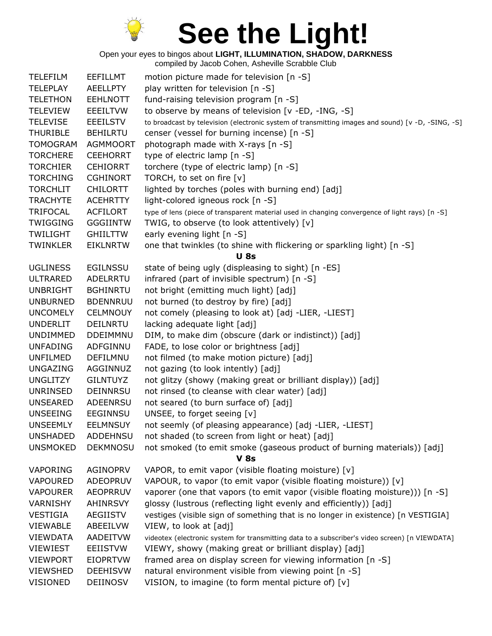

Open your eyes to bingos about **LIGHT, ILLUMINATION, SHADOW, DARKNESS**

| <b>TELEFILM</b> | <b>EEFILLMT</b> | motion picture made for television [n -S]                                                         |
|-----------------|-----------------|---------------------------------------------------------------------------------------------------|
| <b>TELEPLAY</b> | <b>AEELLPTY</b> | play written for television [n -S]                                                                |
| <b>TELETHON</b> | <b>EEHLNOTT</b> | fund-raising television program [n -S]                                                            |
| <b>TELEVIEW</b> | <b>EEEILTVW</b> | to observe by means of television [v -ED, -ING, -S]                                               |
| <b>TELEVISE</b> | <b>EEEILSTV</b> | to broadcast by television (electronic system of transmitting images and sound) [v -D, -SING, -S] |
| <b>THURIBLE</b> | <b>BEHILRTU</b> | censer (vessel for burning incense) [n -S]                                                        |
| <b>TOMOGRAM</b> | <b>AGMMOORT</b> | photograph made with X-rays [n -S]                                                                |
| <b>TORCHERE</b> | <b>CEEHORRT</b> | type of electric lamp [n -S]                                                                      |
| <b>TORCHIER</b> | <b>CEHIORRT</b> | torchere (type of electric lamp) [n -S]                                                           |
| <b>TORCHING</b> | <b>CGHINORT</b> | TORCH, to set on fire [v]                                                                         |
| <b>TORCHLIT</b> | <b>CHILORTT</b> | lighted by torches (poles with burning end) [adj]                                                 |
| <b>TRACHYTE</b> | <b>ACEHRTTY</b> | light-colored igneous rock [n -S]                                                                 |
| <b>TRIFOCAL</b> | <b>ACFILORT</b> | type of lens (piece of transparent material used in changing convergence of light rays) [n -S]    |
| <b>TWIGGING</b> | <b>GGGIINTW</b> | TWIG, to observe (to look attentively) [v]                                                        |
| <b>TWILIGHT</b> | <b>GHIILTTW</b> | early evening light [n -S]                                                                        |
| TWINKLER        | <b>EIKLNRTW</b> | one that twinkles (to shine with flickering or sparkling light) [n -S]                            |
|                 |                 | <b>U</b> 8s                                                                                       |
| <b>UGLINESS</b> | <b>EGILNSSU</b> | state of being ugly (displeasing to sight) [n -ES]                                                |
| <b>ULTRARED</b> | ADELRRTU        | infrared (part of invisible spectrum) [n -S]                                                      |
| <b>UNBRIGHT</b> | <b>BGHINRTU</b> | not bright (emitting much light) [adj]                                                            |
| <b>UNBURNED</b> | <b>BDENNRUU</b> | not burned (to destroy by fire) [adj]                                                             |
| <b>UNCOMELY</b> | <b>CELMNOUY</b> | not comely (pleasing to look at) [adj -LIER, -LIEST]                                              |
| <b>UNDERLIT</b> | <b>DEILNRTU</b> | lacking adequate light [adj]                                                                      |
| <b>UNDIMMED</b> | <b>DDEIMMNU</b> | DIM, to make dim (obscure (dark or indistinct)) [adj]                                             |
| <b>UNFADING</b> | ADFGINNU        | FADE, to lose color or brightness [adj]                                                           |
| <b>UNFILMED</b> | DEFILMNU        | not filmed (to make motion picture) [adj]                                                         |
| <b>UNGAZING</b> | AGGINNUZ        | not gazing (to look intently) [adj]                                                               |
| <b>UNGLITZY</b> | <b>GILNTUYZ</b> | not glitzy (showy (making great or brilliant display)) [adj]                                      |
| UNRINSED        | <b>DEINNRSU</b> | not rinsed (to cleanse with clear water) [adj]                                                    |
| <b>UNSEARED</b> | <b>ADEENRSU</b> | not seared (to burn surface of) [adj]                                                             |
| <b>UNSEEING</b> | EEGINNSU        | UNSEE, to forget seeing [v]                                                                       |
| <b>UNSEEMLY</b> | <b>EELMNSUY</b> | not seemly (of pleasing appearance) [adj -LIER, -LIEST]                                           |
| <b>UNSHADED</b> | <b>ADDEHNSU</b> | not shaded (to screen from light or heat) [adj]                                                   |
| <b>UNSMOKED</b> | <b>DEKMNOSU</b> | not smoked (to emit smoke (gaseous product of burning materials)) [adj]                           |
|                 |                 | $V$ 8s                                                                                            |
| <b>VAPORING</b> | AGINOPRV        | VAPOR, to emit vapor (visible floating moisture) [v]                                              |
| <b>VAPOURED</b> | <b>ADEOPRUV</b> | VAPOUR, to vapor (to emit vapor (visible floating moisture)) [v]                                  |
| <b>VAPOURER</b> | <b>AEOPRRUV</b> | vaporer (one that vapors (to emit vapor (visible floating moisture))) [n -S]                      |
| <b>VARNISHY</b> | <b>AHINRSVY</b> | glossy (lustrous (reflecting light evenly and efficiently)) [adj]                                 |
| VESTIGIA        | AEGIISTV        | vestiges (visible sign of something that is no longer in existence) [n VESTIGIA]                  |
| <b>VIEWABLE</b> | ABEEILVW        | VIEW, to look at [adj]                                                                            |
| <b>VIEWDATA</b> | <b>AADEITVW</b> | videotex (electronic system for transmitting data to a subscriber's video screen) [n VIEWDATA]    |
| <b>VIEWIEST</b> | <b>EEIISTVW</b> | VIEWY, showy (making great or brilliant display) [adj]                                            |
| <b>VIEWPORT</b> | <b>EIOPRTVW</b> | framed area on display screen for viewing information [n -S]                                      |
| <b>VIEWSHED</b> | <b>DEEHISVW</b> | natural environment visible from viewing point [n -S]                                             |
| VISIONED        | DEIINOSV        | VISION, to imagine (to form mental picture of) [v]                                                |